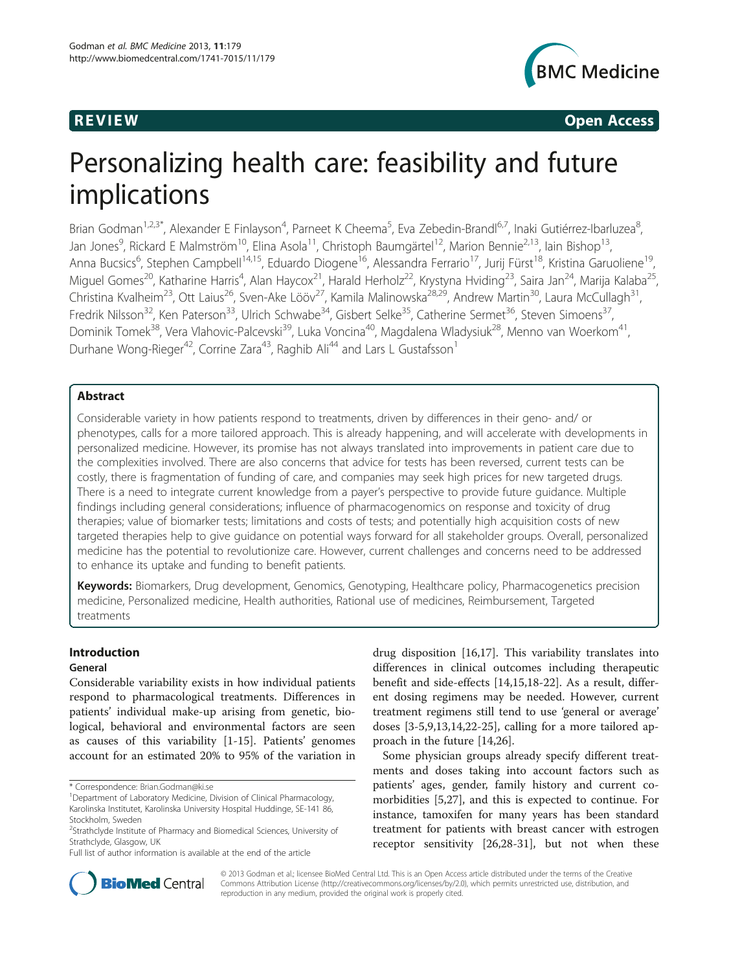

**REVIEW REVIEW CONSTRUCTER ACCESS** 

# Personalizing health care: feasibility and future implications

Brian Godman<sup>1,2,3\*</sup>, Alexander E Finlayson<sup>4</sup>, Parneet K Cheema<sup>5</sup>, Eva Zebedin-Brandl<sup>6,7</sup>, Inaki Gutiérrez-Ibarluzea<sup>8</sup> , Jan Jones<sup>9</sup>, Rickard E Malmström<sup>10</sup>, Elina Asola<sup>11</sup>, Christoph Baumgärtel<sup>12</sup>, Marion Bennie<sup>2,13</sup>, Iain Bishop<sup>13</sup>, Anna Bucsics<sup>6</sup>, Stephen Campbell<sup>14,15</sup>, Eduardo Diogene<sup>16</sup>, Alessandra Ferrario<sup>17</sup>, Jurij Fürst<sup>18</sup>, Kristina Garuoliene<sup>19</sup>, Miguel Gomes<sup>20</sup>, Katharine Harris<sup>4</sup>, Alan Haycox<sup>21</sup>, Harald Herholz<sup>22</sup>, Krystyna Hviding<sup>23</sup>, Saira Jan<sup>24</sup>, Marija Kalaba<sup>25</sup>, Christina Kvalheim<sup>23</sup>, Ott Laius<sup>26</sup>, Sven-Ake Lööv<sup>27</sup>, Kamila Malinowska<sup>28,29</sup>, Andrew Martin<sup>30</sup>, Laura McCullagh<sup>31</sup>, Fredrik Nilsson<sup>32</sup>, Ken Paterson<sup>33</sup>, Ulrich Schwabe<sup>34</sup>, Gisbert Selke<sup>35</sup>, Catherine Sermet<sup>36</sup>, Steven Simoens<sup>37</sup>, Dominik Tomek<sup>38</sup>, Vera Vlahovic-Palcevski<sup>39</sup>, Luka Voncina<sup>40</sup>, Magdalena Wladysiuk<sup>28</sup>, Menno van Woerkom<sup>41</sup>, Durhane Wong-Rieger<sup>42</sup>, Corrine Zara<sup>43</sup>, Raghib Ali<sup>44</sup> and Lars L Gustafsson<sup>1</sup>

# Abstract

Considerable variety in how patients respond to treatments, driven by differences in their geno- and/ or phenotypes, calls for a more tailored approach. This is already happening, and will accelerate with developments in personalized medicine. However, its promise has not always translated into improvements in patient care due to the complexities involved. There are also concerns that advice for tests has been reversed, current tests can be costly, there is fragmentation of funding of care, and companies may seek high prices for new targeted drugs. There is a need to integrate current knowledge from a payer's perspective to provide future guidance. Multiple findings including general considerations; influence of pharmacogenomics on response and toxicity of drug therapies; value of biomarker tests; limitations and costs of tests; and potentially high acquisition costs of new targeted therapies help to give guidance on potential ways forward for all stakeholder groups. Overall, personalized medicine has the potential to revolutionize care. However, current challenges and concerns need to be addressed to enhance its uptake and funding to benefit patients.

Keywords: Biomarkers, Drug development, Genomics, Genotyping, Healthcare policy, Pharmacogenetics precision medicine, Personalized medicine, Health authorities, Rational use of medicines, Reimbursement, Targeted treatments

# Introduction

#### General

Considerable variability exists in how individual patients respond to pharmacological treatments. Differences in patients' individual make-up arising from genetic, biological, behavioral and environmental factors are seen as causes of this variability [[1-](#page-16-0)[15](#page-17-0)]. Patients' genomes account for an estimated 20% to 95% of the variation in

drug disposition [\[16,17](#page-17-0)]. This variability translates into differences in clinical outcomes including therapeutic benefit and side-effects [[14,](#page-16-0)[15,18-22\]](#page-17-0). As a result, different dosing regimens may be needed. However, current treatment regimens still tend to use 'general or average' doses [[3-5,9,13,14](#page-16-0)[,22](#page-17-0)-[25](#page-17-0)], calling for a more tailored approach in the future [\[14](#page-16-0)[,26](#page-17-0)].

Some physician groups already specify different treatments and doses taking into account factors such as patients' ages, gender, family history and current comorbidities [[5,](#page-16-0)[27\]](#page-17-0), and this is expected to continue. For instance, tamoxifen for many years has been standard treatment for patients with breast cancer with estrogen receptor sensitivity [\[26,28](#page-17-0)-[31\]](#page-17-0), but not when these



© 2013 Godman et al.; licensee BioMed Central Ltd. This is an Open Access article distributed under the terms of the Creative Commons Attribution License [\(http://creativecommons.org/licenses/by/2.0\)](http://creativecommons.org/licenses/by/2.0), which permits unrestricted use, distribution, and reproduction in any medium, provided the original work is properly cited.

<sup>\*</sup> Correspondence: [Brian.Godman@ki.se](mailto:Brian.Godman@ki.se) <sup>1</sup>

<sup>&</sup>lt;sup>1</sup>Department of Laboratory Medicine, Division of Clinical Pharmacology, Karolinska Institutet, Karolinska University Hospital Huddinge, SE-141 86, Stockholm, Sweden

<sup>&</sup>lt;sup>2</sup>Strathclyde Institute of Pharmacy and Biomedical Sciences, University of Strathclyde, Glasgow, UK

Full list of author information is available at the end of the article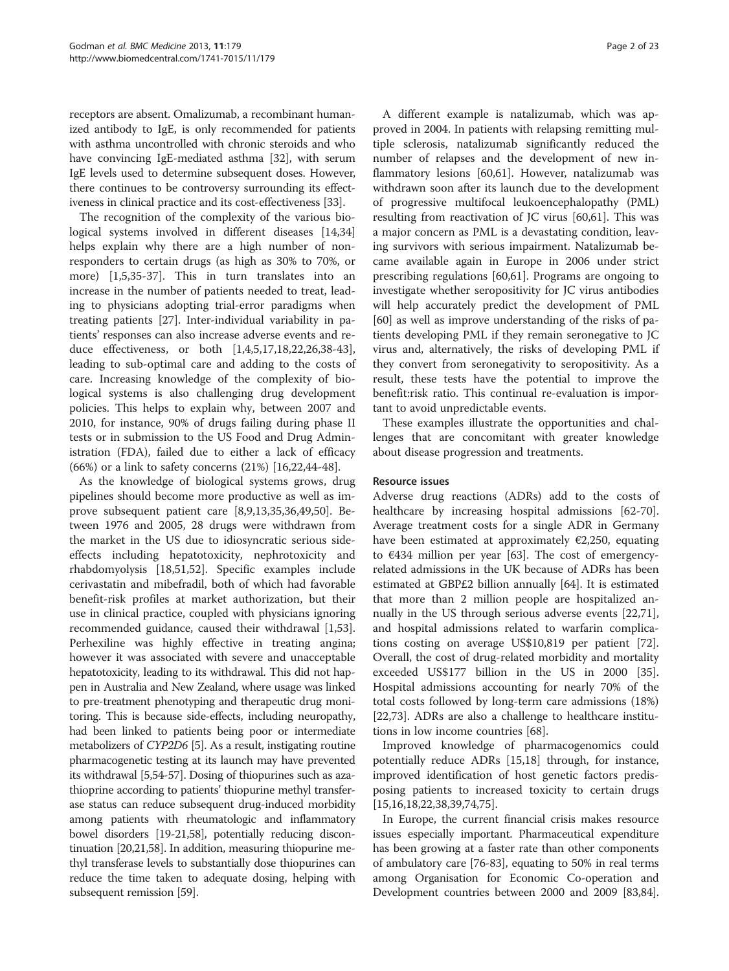receptors are absent. Omalizumab, a recombinant humanized antibody to IgE, is only recommended for patients with asthma uncontrolled with chronic steroids and who have convincing IgE-mediated asthma [\[32](#page-17-0)], with serum IgE levels used to determine subsequent doses. However, there continues to be controversy surrounding its effectiveness in clinical practice and its cost-effectiveness [\[33\]](#page-17-0).

The recognition of the complexity of the various biological systems involved in different diseases [[14](#page-16-0),[34](#page-17-0)] helps explain why there are a high number of nonresponders to certain drugs (as high as 30% to 70%, or more) [\[1,5](#page-16-0)[,35](#page-17-0)-[37\]](#page-17-0). This in turn translates into an increase in the number of patients needed to treat, leading to physicians adopting trial-error paradigms when treating patients [[27](#page-17-0)]. Inter-individual variability in patients' responses can also increase adverse events and reduce effectiveness, or both [\[1,4,5](#page-16-0)[,17,18,22,26,38-43](#page-17-0)], leading to sub-optimal care and adding to the costs of care. Increasing knowledge of the complexity of biological systems is also challenging drug development policies. This helps to explain why, between 2007 and 2010, for instance, 90% of drugs failing during phase II tests or in submission to the US Food and Drug Administration (FDA), failed due to either a lack of efficacy (66%) or a link to safety concerns (21%) [[16,22,44-48](#page-17-0)].

As the knowledge of biological systems grows, drug pipelines should become more productive as well as improve subsequent patient care [\[8](#page-16-0),[9](#page-16-0),[13](#page-16-0),[35,36,49,50](#page-17-0)]. Between 1976 and 2005, 28 drugs were withdrawn from the market in the US due to idiosyncratic serious sideeffects including hepatotoxicity, nephrotoxicity and rhabdomyolysis [[18,51,52](#page-17-0)]. Specific examples include cerivastatin and mibefradil, both of which had favorable benefit-risk profiles at market authorization, but their use in clinical practice, coupled with physicians ignoring recommended guidance, caused their withdrawal [\[1](#page-16-0)[,53](#page-17-0)]. Perhexiline was highly effective in treating angina; however it was associated with severe and unacceptable hepatotoxicity, leading to its withdrawal. This did not happen in Australia and New Zealand, where usage was linked to pre-treatment phenotyping and therapeutic drug monitoring. This is because side-effects, including neuropathy, had been linked to patients being poor or intermediate metabolizers of CYP2D6 [\[5\]](#page-16-0). As a result, instigating routine pharmacogenetic testing at its launch may have prevented its withdrawal [[5](#page-16-0)[,54-57\]](#page-17-0). Dosing of thiopurines such as azathioprine according to patients' thiopurine methyl transferase status can reduce subsequent drug-induced morbidity among patients with rheumatologic and inflammatory bowel disorders [\[19-21,58](#page-17-0)], potentially reducing discontinuation [\[20,21,58\]](#page-17-0). In addition, measuring thiopurine methyl transferase levels to substantially dose thiopurines can reduce the time taken to adequate dosing, helping with subsequent remission [[59](#page-17-0)].

A different example is natalizumab, which was approved in 2004. In patients with relapsing remitting multiple sclerosis, natalizumab significantly reduced the number of relapses and the development of new inflammatory lesions [[60,61\]](#page-17-0). However, natalizumab was withdrawn soon after its launch due to the development of progressive multifocal leukoencephalopathy (PML) resulting from reactivation of JC virus [[60,61\]](#page-17-0). This was a major concern as PML is a devastating condition, leaving survivors with serious impairment. Natalizumab became available again in Europe in 2006 under strict prescribing regulations [\[60,61](#page-17-0)]. Programs are ongoing to investigate whether seropositivity for JC virus antibodies will help accurately predict the development of PML [[60\]](#page-17-0) as well as improve understanding of the risks of patients developing PML if they remain seronegative to JC virus and, alternatively, the risks of developing PML if they convert from seronegativity to seropositivity. As a result, these tests have the potential to improve the benefit:risk ratio. This continual re-evaluation is important to avoid unpredictable events.

These examples illustrate the opportunities and challenges that are concomitant with greater knowledge about disease progression and treatments.

#### Resource issues

Adverse drug reactions (ADRs) add to the costs of healthcare by increasing hospital admissions [\[62-70](#page-18-0)]. Average treatment costs for a single ADR in Germany have been estimated at approximately  $\epsilon$ 2,250, equating to  $€434$  million per year [\[63](#page-18-0)]. The cost of emergencyrelated admissions in the UK because of ADRs has been estimated at GBP£2 billion annually [[64\]](#page-18-0). It is estimated that more than 2 million people are hospitalized annually in the US through serious adverse events [\[22](#page-17-0)[,71](#page-18-0)], and hospital admissions related to warfarin complications costing on average US\$10,819 per patient [\[72](#page-18-0)]. Overall, the cost of drug-related morbidity and mortality exceeded US\$177 billion in the US in 2000 [\[35](#page-17-0)]. Hospital admissions accounting for nearly 70% of the total costs followed by long-term care admissions (18%) [[22,](#page-17-0)[73\]](#page-18-0). ADRs are also a challenge to healthcare institutions in low income countries [\[68\]](#page-18-0).

Improved knowledge of pharmacogenomics could potentially reduce ADRs [[15,18\]](#page-17-0) through, for instance, improved identification of host genetic factors predisposing patients to increased toxicity to certain drugs [[15,16,18,22,38,39,](#page-17-0)[74](#page-18-0),[75](#page-18-0)].

In Europe, the current financial crisis makes resource issues especially important. Pharmaceutical expenditure has been growing at a faster rate than other components of ambulatory care [\[76-83\]](#page-18-0), equating to 50% in real terms among Organisation for Economic Co-operation and Development countries between 2000 and 2009 [\[83,84](#page-18-0)].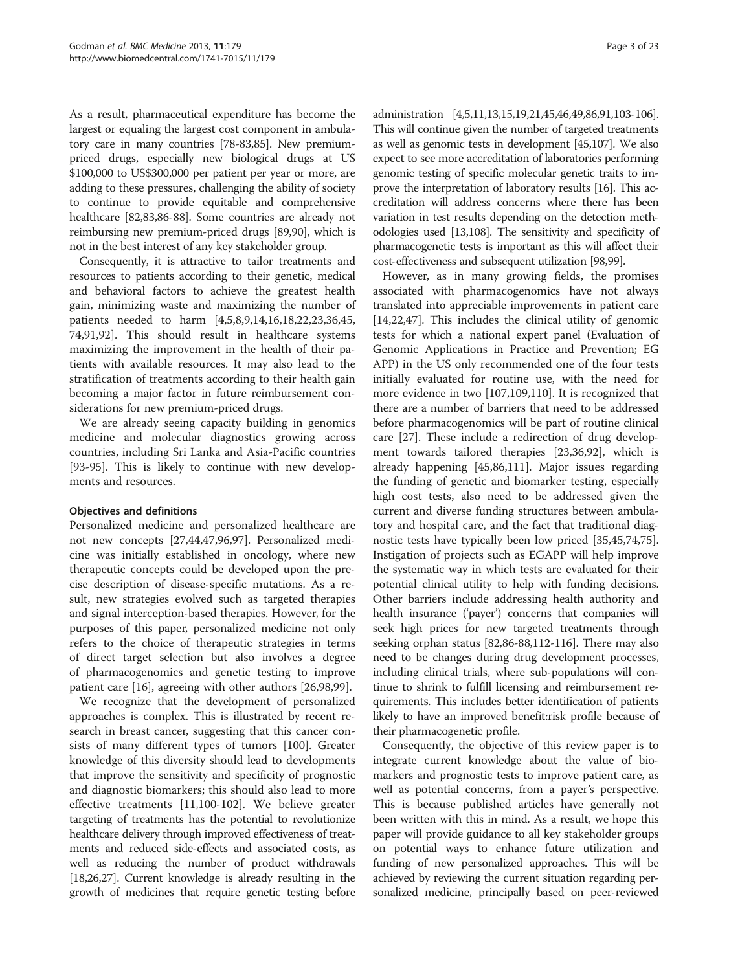As a result, pharmaceutical expenditure has become the largest or equaling the largest cost component in ambulatory care in many countries [[78](#page-18-0)-[83,85](#page-18-0)]. New premiumpriced drugs, especially new biological drugs at US \$100,000 to US\$300,000 per patient per year or more, are adding to these pressures, challenging the ability of society to continue to provide equitable and comprehensive healthcare [\[82,83,86](#page-18-0)-[88](#page-18-0)]. Some countries are already not reimbursing new premium-priced drugs [[89,90\]](#page-18-0), which is not in the best interest of any key stakeholder group.

Consequently, it is attractive to tailor treatments and resources to patients according to their genetic, medical and behavioral factors to achieve the greatest health gain, minimizing waste and maximizing the number of patients needed to harm [\[4,5,8](#page-16-0),[9](#page-16-0),[14](#page-16-0),[16](#page-17-0),[18](#page-17-0),[22](#page-17-0),[23](#page-17-0),[36](#page-17-0),[45](#page-17-0), [74,91,92\]](#page-18-0). This should result in healthcare systems maximizing the improvement in the health of their patients with available resources. It may also lead to the stratification of treatments according to their health gain becoming a major factor in future reimbursement considerations for new premium-priced drugs.

We are already seeing capacity building in genomics medicine and molecular diagnostics growing across countries, including Sri Lanka and Asia-Pacific countries [[93-95](#page-18-0)]. This is likely to continue with new developments and resources.

#### Objectives and definitions

Personalized medicine and personalized healthcare are not new concepts [[27,44,47,](#page-17-0)[96,97\]](#page-18-0). Personalized medicine was initially established in oncology, where new therapeutic concepts could be developed upon the precise description of disease-specific mutations. As a result, new strategies evolved such as targeted therapies and signal interception-based therapies. However, for the purposes of this paper, personalized medicine not only refers to the choice of therapeutic strategies in terms of direct target selection but also involves a degree of pharmacogenomics and genetic testing to improve patient care [[16\]](#page-17-0), agreeing with other authors [[26](#page-17-0),[98,99](#page-18-0)].

We recognize that the development of personalized approaches is complex. This is illustrated by recent research in breast cancer, suggesting that this cancer consists of many different types of tumors [[100](#page-18-0)]. Greater knowledge of this diversity should lead to developments that improve the sensitivity and specificity of prognostic and diagnostic biomarkers; this should also lead to more effective treatments [\[11](#page-16-0)[,100-102](#page-18-0)]. We believe greater targeting of treatments has the potential to revolutionize healthcare delivery through improved effectiveness of treatments and reduced side-effects and associated costs, as well as reducing the number of product withdrawals [[18,26,27](#page-17-0)]. Current knowledge is already resulting in the growth of medicines that require genetic testing before

administration [[4,5,11,13](#page-16-0)[,15,19,21,45,46,49](#page-17-0)[,86,91](#page-18-0)[,103-106](#page-19-0)]. This will continue given the number of targeted treatments as well as genomic tests in development [\[45](#page-17-0)[,107\]](#page-19-0). We also expect to see more accreditation of laboratories performing genomic testing of specific molecular genetic traits to improve the interpretation of laboratory results [\[16\]](#page-17-0). This accreditation will address concerns where there has been variation in test results depending on the detection methodologies used [\[13,](#page-16-0)[108](#page-19-0)]. The sensitivity and specificity of pharmacogenetic tests is important as this will affect their cost-effectiveness and subsequent utilization [\[98,99](#page-18-0)].

However, as in many growing fields, the promises associated with pharmacogenomics have not always translated into appreciable improvements in patient care [[14,](#page-16-0)[22,47\]](#page-17-0). This includes the clinical utility of genomic tests for which a national expert panel (Evaluation of Genomic Applications in Practice and Prevention; EG APP) in the US only recommended one of the four tests initially evaluated for routine use, with the need for more evidence in two [[107](#page-19-0),[109,110](#page-19-0)]. It is recognized that there are a number of barriers that need to be addressed before pharmacogenomics will be part of routine clinical care [[27\]](#page-17-0). These include a redirection of drug development towards tailored therapies [[23](#page-17-0),[36](#page-17-0),[92](#page-18-0)], which is already happening [[45,](#page-17-0)[86](#page-18-0),[111](#page-19-0)]. Major issues regarding the funding of genetic and biomarker testing, especially high cost tests, also need to be addressed given the current and diverse funding structures between ambulatory and hospital care, and the fact that traditional diagnostic tests have typically been low priced [[35](#page-17-0),[45](#page-17-0)[,74,75](#page-18-0)]. Instigation of projects such as EGAPP will help improve the systematic way in which tests are evaluated for their potential clinical utility to help with funding decisions. Other barriers include addressing health authority and health insurance ('payer') concerns that companies will seek high prices for new targeted treatments through seeking orphan status [[82,86](#page-18-0)-[88](#page-18-0)[,112-116\]](#page-19-0). There may also need to be changes during drug development processes, including clinical trials, where sub-populations will continue to shrink to fulfill licensing and reimbursement requirements. This includes better identification of patients likely to have an improved benefit:risk profile because of their pharmacogenetic profile.

Consequently, the objective of this review paper is to integrate current knowledge about the value of biomarkers and prognostic tests to improve patient care, as well as potential concerns, from a payer's perspective. This is because published articles have generally not been written with this in mind. As a result, we hope this paper will provide guidance to all key stakeholder groups on potential ways to enhance future utilization and funding of new personalized approaches. This will be achieved by reviewing the current situation regarding personalized medicine, principally based on peer-reviewed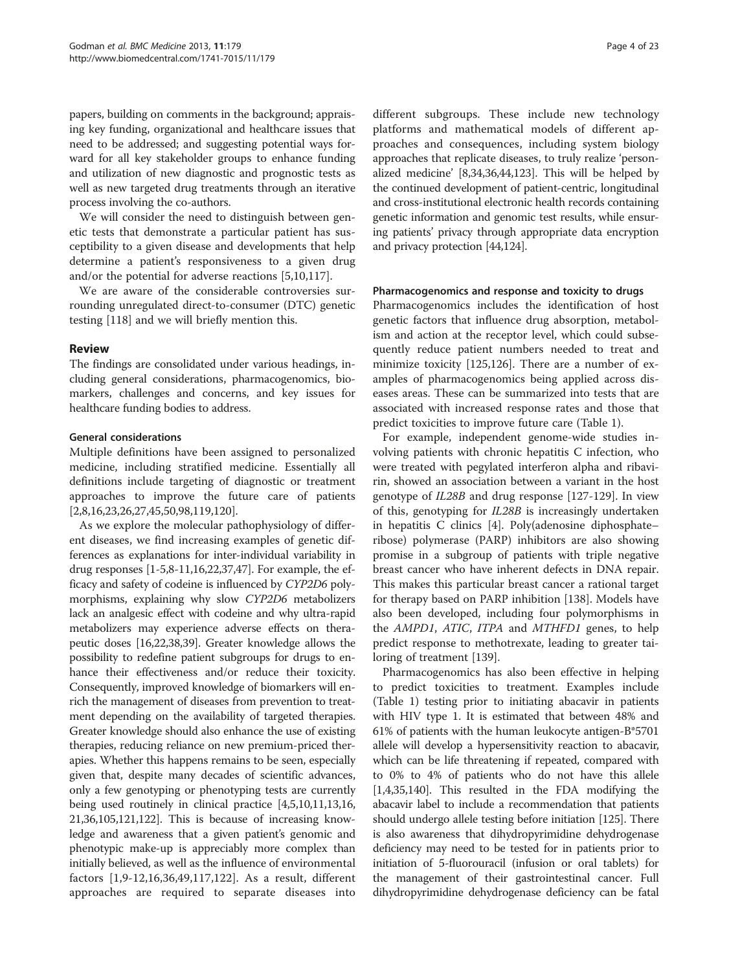papers, building on comments in the background; appraising key funding, organizational and healthcare issues that need to be addressed; and suggesting potential ways forward for all key stakeholder groups to enhance funding and utilization of new diagnostic and prognostic tests as well as new targeted drug treatments through an iterative process involving the co-authors.

We will consider the need to distinguish between genetic tests that demonstrate a particular patient has susceptibility to a given disease and developments that help determine a patient's responsiveness to a given drug and/or the potential for adverse reactions [[5,10,](#page-16-0)[117](#page-19-0)].

We are aware of the considerable controversies surrounding unregulated direct-to-consumer (DTC) genetic testing [\[118\]](#page-19-0) and we will briefly mention this.

#### Review

The findings are consolidated under various headings, including general considerations, pharmacogenomics, biomarkers, challenges and concerns, and key issues for healthcare funding bodies to address.

#### General considerations

Multiple definitions have been assigned to personalized medicine, including stratified medicine. Essentially all definitions include targeting of diagnostic or treatment approaches to improve the future care of patients [[2,8,](#page-16-0)[16,23,26,27,45,50,](#page-17-0)[98,](#page-18-0)[119](#page-19-0),[120](#page-19-0)].

As we explore the molecular pathophysiology of different diseases, we find increasing examples of genetic differences as explanations for inter-individual variability in drug responses [\[1](#page-16-0)-[5,8-11,](#page-16-0)[16,22,37,47](#page-17-0)]. For example, the efficacy and safety of codeine is influenced by CYP2D6 polymorphisms, explaining why slow CYP2D6 metabolizers lack an analgesic effect with codeine and why ultra-rapid metabolizers may experience adverse effects on therapeutic doses [\[16,22](#page-17-0),[38,39\]](#page-17-0). Greater knowledge allows the possibility to redefine patient subgroups for drugs to enhance their effectiveness and/or reduce their toxicity. Consequently, improved knowledge of biomarkers will enrich the management of diseases from prevention to treatment depending on the availability of targeted therapies. Greater knowledge should also enhance the use of existing therapies, reducing reliance on new premium-priced therapies. Whether this happens remains to be seen, especially given that, despite many decades of scientific advances, only a few genotyping or phenotyping tests are currently being used routinely in clinical practice [[4,5,10,11,13,](#page-16-0)[16](#page-17-0), [21,36](#page-17-0)[,105,121,122\]](#page-19-0). This is because of increasing knowledge and awareness that a given patient's genomic and phenotypic make-up is appreciably more complex than initially believed, as well as the influence of environmental factors [[1,9-12,](#page-16-0)[16,36,49](#page-17-0)[,117,122\]](#page-19-0). As a result, different approaches are required to separate diseases into

different subgroups. These include new technology platforms and mathematical models of different approaches and consequences, including system biology approaches that replicate diseases, to truly realize 'personalized medicine' [[8,](#page-16-0)[34,36,44,](#page-17-0)[123](#page-19-0)]. This will be helped by the continued development of patient-centric, longitudinal and cross-institutional electronic health records containing genetic information and genomic test results, while ensuring patients' privacy through appropriate data encryption and privacy protection [[44](#page-17-0)[,124\]](#page-19-0).

#### Pharmacogenomics and response and toxicity to drugs

Pharmacogenomics includes the identification of host genetic factors that influence drug absorption, metabolism and action at the receptor level, which could subsequently reduce patient numbers needed to treat and minimize toxicity [\[125,126\]](#page-19-0). There are a number of examples of pharmacogenomics being applied across diseases areas. These can be summarized into tests that are associated with increased response rates and those that predict toxicities to improve future care (Table [1](#page-4-0)).

For example, independent genome-wide studies involving patients with chronic hepatitis C infection, who were treated with pegylated interferon alpha and ribavirin, showed an association between a variant in the host genotype of IL28B and drug response [[127](#page-19-0)-[129\]](#page-19-0). In view of this, genotyping for IL28B is increasingly undertaken in hepatitis C clinics [[4\]](#page-16-0). Poly(adenosine diphosphate– ribose) polymerase (PARP) inhibitors are also showing promise in a subgroup of patients with triple negative breast cancer who have inherent defects in DNA repair. This makes this particular breast cancer a rational target for therapy based on PARP inhibition [\[138\]](#page-19-0). Models have also been developed, including four polymorphisms in the AMPD1, ATIC, ITPA and MTHFD1 genes, to help predict response to methotrexate, leading to greater tailoring of treatment [[139](#page-19-0)].

Pharmacogenomics has also been effective in helping to predict toxicities to treatment. Examples include (Table [1](#page-4-0)) testing prior to initiating abacavir in patients with HIV type 1. It is estimated that between 48% and 61% of patients with the human leukocyte antigen-B\*5701 allele will develop a hypersensitivity reaction to abacavir, which can be life threatening if repeated, compared with to 0% to 4% of patients who do not have this allele [[1,4,](#page-16-0)[35](#page-17-0)[,140\]](#page-19-0). This resulted in the FDA modifying the abacavir label to include a recommendation that patients should undergo allele testing before initiation [\[125\]](#page-19-0). There is also awareness that dihydropyrimidine dehydrogenase deficiency may need to be tested for in patients prior to initiation of 5-fluorouracil (infusion or oral tablets) for the management of their gastrointestinal cancer. Full dihydropyrimidine dehydrogenase deficiency can be fatal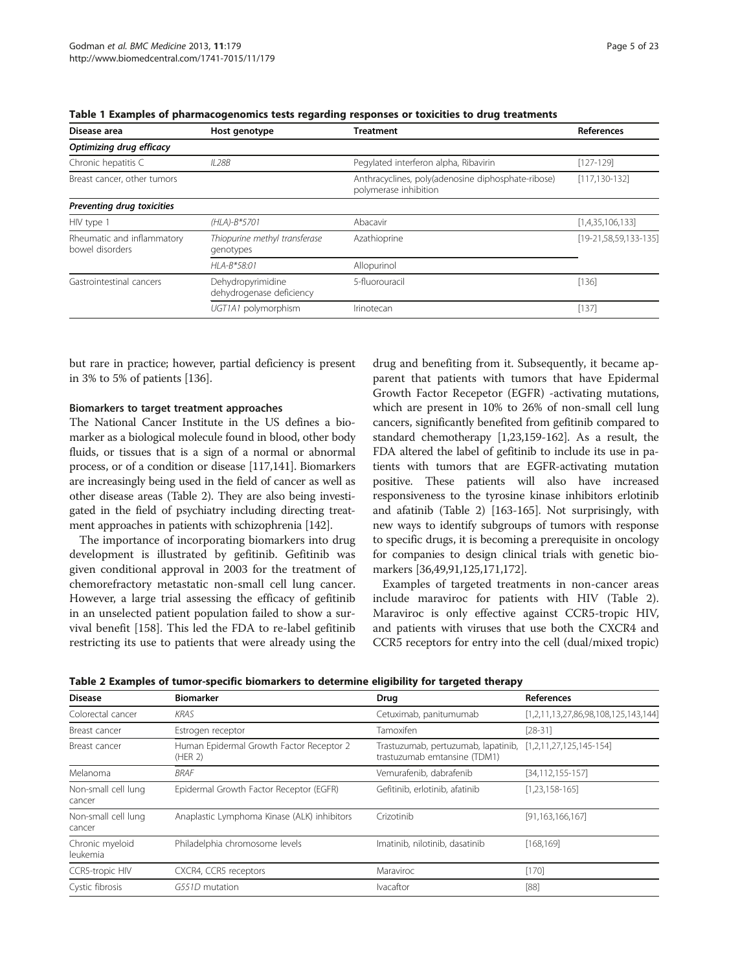| Disease area                                  | Host genotype                                 | <b>Treatment</b>                                                            | <b>References</b>          |
|-----------------------------------------------|-----------------------------------------------|-----------------------------------------------------------------------------|----------------------------|
| Optimizing drug efficacy                      |                                               |                                                                             |                            |
| Chronic hepatitis C                           | IL28B                                         | Pegylated interferon alpha, Ribavirin                                       | $[127-129]$                |
| Breast cancer, other tumors                   |                                               | Anthracyclines, poly(adenosine diphosphate-ribose)<br>polymerase inhibition | $[117, 130 - 132]$         |
| Preventing drug toxicities                    |                                               |                                                                             |                            |
| HIV type                                      | (HLA)-B*5701                                  | Abacavir                                                                    | [1,4,35,106,133]           |
| Rheumatic and inflammatory<br>bowel disorders | Thiopurine methyl transferase<br>genotypes    | Azathioprine                                                                | $[19-21, 58, 59, 133-135]$ |
|                                               | HLA-B*58:01                                   | Allopurinol                                                                 |                            |
| Gastrointestinal cancers                      | Dehydropyrimidine<br>dehydrogenase deficiency | 5-fluorouracil                                                              | [136]                      |
|                                               | UGT1A1 polymorphism                           | Irinotecan                                                                  | [137]                      |

<span id="page-4-0"></span>Table 1 Examples of pharmacogenomics tests regarding responses or toxicities to drug treatments

but rare in practice; however, partial deficiency is present in 3% to 5% of patients [[136](#page-19-0)].

#### Biomarkers to target treatment approaches

The National Cancer Institute in the US defines a biomarker as a biological molecule found in blood, other body fluids, or tissues that is a sign of a normal or abnormal process, or of a condition or disease [\[117,141](#page-19-0)]. Biomarkers are increasingly being used in the field of cancer as well as other disease areas (Table 2). They are also being investigated in the field of psychiatry including directing treatment approaches in patients with schizophrenia [\[142\]](#page-19-0).

The importance of incorporating biomarkers into drug development is illustrated by gefitinib. Gefitinib was given conditional approval in 2003 for the treatment of chemorefractory metastatic non-small cell lung cancer. However, a large trial assessing the efficacy of gefitinib in an unselected patient population failed to show a survival benefit [[158\]](#page-20-0). This led the FDA to re-label gefitinib restricting its use to patients that were already using the drug and benefiting from it. Subsequently, it became apparent that patients with tumors that have Epidermal Growth Factor Recepetor (EGFR) -activating mutations, which are present in 10% to 26% of non-small cell lung cancers, significantly benefited from gefitinib compared to standard chemotherapy [[1](#page-16-0)[,23](#page-17-0)[,159-162\]](#page-20-0). As a result, the FDA altered the label of gefitinib to include its use in patients with tumors that are EGFR-activating mutation positive. These patients will also have increased responsiveness to the tyrosine kinase inhibitors erlotinib and afatinib (Table 2) [[163](#page-20-0)-[165](#page-20-0)]. Not surprisingly, with new ways to identify subgroups of tumors with response to specific drugs, it is becoming a prerequisite in oncology for companies to design clinical trials with genetic biomarkers [[36](#page-17-0),[49](#page-17-0)[,91,](#page-18-0)[125](#page-19-0)[,171,172](#page-20-0)].

Examples of targeted treatments in non-cancer areas include maraviroc for patients with HIV (Table 2). Maraviroc is only effective against CCR5-tropic HIV, and patients with viruses that use both the CXCR4 and CCR5 receptors for entry into the cell (dual/mixed tropic)

| <b>Disease</b>                | <b>Biomarker</b>                                    | Drug                                                                | <b>References</b>                    |  |
|-------------------------------|-----------------------------------------------------|---------------------------------------------------------------------|--------------------------------------|--|
| Colorectal cancer             | KRAS                                                | Cetuximab, panitumumab                                              | [1,2,11,13,27,86,98,108,125,143,144] |  |
| Breast cancer                 | Estrogen receptor                                   | Tamoxifen                                                           | [28-31]                              |  |
| Breast cancer                 | Human Epidermal Growth Factor Receptor 2<br>(HER 2) | Trastuzumab, pertuzumab, lapatinib,<br>trastuzumab emtansine (TDM1) | $[1,2,11,27,125,145-154]$            |  |
| Melanoma                      | <b>BRAF</b>                                         | Vemurafenib, dabrafenib                                             | $[34, 112, 155 - 157]$               |  |
| Non-small cell lung<br>cancer | Epidermal Growth Factor Receptor (EGFR)             | Gefitinib, erlotinib, afatinib                                      | $[1,23,158-165]$                     |  |
| Non-small cell lung<br>cancer | Anaplastic Lymphoma Kinase (ALK) inhibitors         | Crizotinib                                                          | [91, 163, 166, 167]                  |  |
| Chronic myeloid<br>leukemia   | Philadelphia chromosome levels                      | Imatinib, nilotinib, dasatinib                                      | [168, 169]                           |  |
| <b>CCR5-tropic HIV</b>        | CXCR4, CCR5 receptors                               | Maraviroc                                                           | $[170]$                              |  |
| Cystic fibrosis               | G551D mutation                                      | Ivacaftor                                                           | [88]                                 |  |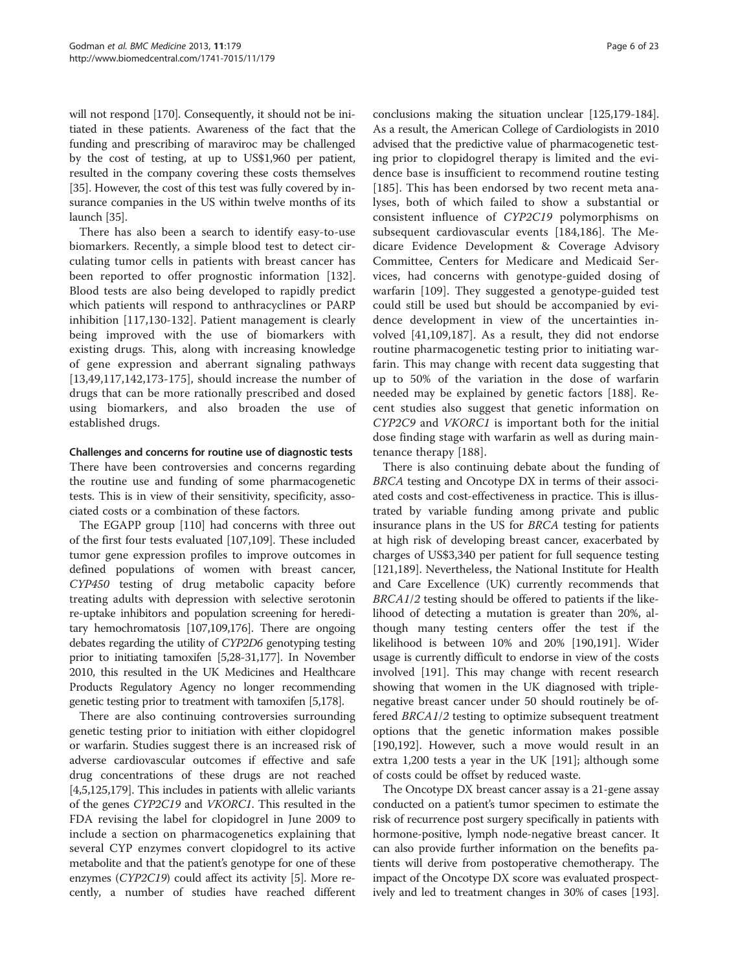will not respond [\[170\]](#page-20-0). Consequently, it should not be initiated in these patients. Awareness of the fact that the funding and prescribing of maraviroc may be challenged by the cost of testing, at up to US\$1,960 per patient, resulted in the company covering these costs themselves [[35](#page-17-0)]. However, the cost of this test was fully covered by insurance companies in the US within twelve months of its launch [\[35\]](#page-17-0).

There has also been a search to identify easy-to-use biomarkers. Recently, a simple blood test to detect circulating tumor cells in patients with breast cancer has been reported to offer prognostic information [\[132](#page-19-0)]. Blood tests are also being developed to rapidly predict which patients will respond to anthracyclines or PARP inhibition [[117,130](#page-19-0)-[132\]](#page-19-0). Patient management is clearly being improved with the use of biomarkers with existing drugs. This, along with increasing knowledge of gene expression and aberrant signaling pathways [[13,](#page-16-0)[49](#page-17-0)[,117](#page-19-0),[142,](#page-19-0)[173-175\]](#page-20-0), should increase the number of drugs that can be more rationally prescribed and dosed using biomarkers, and also broaden the use of established drugs.

#### Challenges and concerns for routine use of diagnostic tests

There have been controversies and concerns regarding the routine use and funding of some pharmacogenetic tests. This is in view of their sensitivity, specificity, associated costs or a combination of these factors.

The EGAPP group [[110\]](#page-19-0) had concerns with three out of the first four tests evaluated [\[107,109\]](#page-19-0). These included tumor gene expression profiles to improve outcomes in defined populations of women with breast cancer, CYP450 testing of drug metabolic capacity before treating adults with depression with selective serotonin re-uptake inhibitors and population screening for hereditary hemochromatosis [\[107,109,](#page-19-0)[176](#page-20-0)]. There are ongoing debates regarding the utility of CYP2D6 genotyping testing prior to initiating tamoxifen [\[5](#page-16-0)[,28-31,](#page-17-0)[177\]](#page-20-0). In November 2010, this resulted in the UK Medicines and Healthcare Products Regulatory Agency no longer recommending genetic testing prior to treatment with tamoxifen [\[5](#page-16-0)[,178](#page-20-0)].

There are also continuing controversies surrounding genetic testing prior to initiation with either clopidogrel or warfarin. Studies suggest there is an increased risk of adverse cardiovascular outcomes if effective and safe drug concentrations of these drugs are not reached [[4,5](#page-16-0),[125](#page-19-0)[,179](#page-20-0)]. This includes in patients with allelic variants of the genes CYP2C19 and VKORC1. This resulted in the FDA revising the label for clopidogrel in June 2009 to include a section on pharmacogenetics explaining that several CYP enzymes convert clopidogrel to its active metabolite and that the patient's genotype for one of these enzymes (CYP2C19) could affect its activity [\[5](#page-16-0)]. More recently, a number of studies have reached different

conclusions making the situation unclear [\[125](#page-19-0)[,179-184](#page-20-0)]. As a result, the American College of Cardiologists in 2010 advised that the predictive value of pharmacogenetic testing prior to clopidogrel therapy is limited and the evidence base is insufficient to recommend routine testing [[185\]](#page-20-0). This has been endorsed by two recent meta analyses, both of which failed to show a substantial or consistent influence of CYP2C19 polymorphisms on subsequent cardiovascular events [[184,](#page-20-0)[186\]](#page-21-0). The Medicare Evidence Development & Coverage Advisory Committee, Centers for Medicare and Medicaid Services, had concerns with genotype-guided dosing of warfarin [[109\]](#page-19-0). They suggested a genotype-guided test could still be used but should be accompanied by evidence development in view of the uncertainties involved [\[41](#page-17-0)[,109](#page-19-0),[187\]](#page-21-0). As a result, they did not endorse routine pharmacogenetic testing prior to initiating warfarin. This may change with recent data suggesting that up to 50% of the variation in the dose of warfarin needed may be explained by genetic factors [[188\]](#page-21-0). Recent studies also suggest that genetic information on CYP2C9 and VKORC1 is important both for the initial dose finding stage with warfarin as well as during maintenance therapy [\[188](#page-21-0)].

There is also continuing debate about the funding of BRCA testing and Oncotype DX in terms of their associated costs and cost-effectiveness in practice. This is illustrated by variable funding among private and public insurance plans in the US for BRCA testing for patients at high risk of developing breast cancer, exacerbated by charges of US\$3,340 per patient for full sequence testing [[121,](#page-19-0)[189](#page-21-0)]. Nevertheless, the National Institute for Health and Care Excellence (UK) currently recommends that BRCA1/2 testing should be offered to patients if the likelihood of detecting a mutation is greater than 20%, although many testing centers offer the test if the likelihood is between 10% and 20% [\[190,191\]](#page-21-0). Wider usage is currently difficult to endorse in view of the costs involved [\[191\]](#page-21-0). This may change with recent research showing that women in the UK diagnosed with triplenegative breast cancer under 50 should routinely be offered BRCA1/2 testing to optimize subsequent treatment options that the genetic information makes possible [[190,192](#page-21-0)]. However, such a move would result in an extra 1,200 tests a year in the UK [[191\]](#page-21-0); although some of costs could be offset by reduced waste.

The Oncotype DX breast cancer assay is a 21-gene assay conducted on a patient's tumor specimen to estimate the risk of recurrence post surgery specifically in patients with hormone-positive, lymph node-negative breast cancer. It can also provide further information on the benefits patients will derive from postoperative chemotherapy. The impact of the Oncotype DX score was evaluated prospectively and led to treatment changes in 30% of cases [[193](#page-21-0)].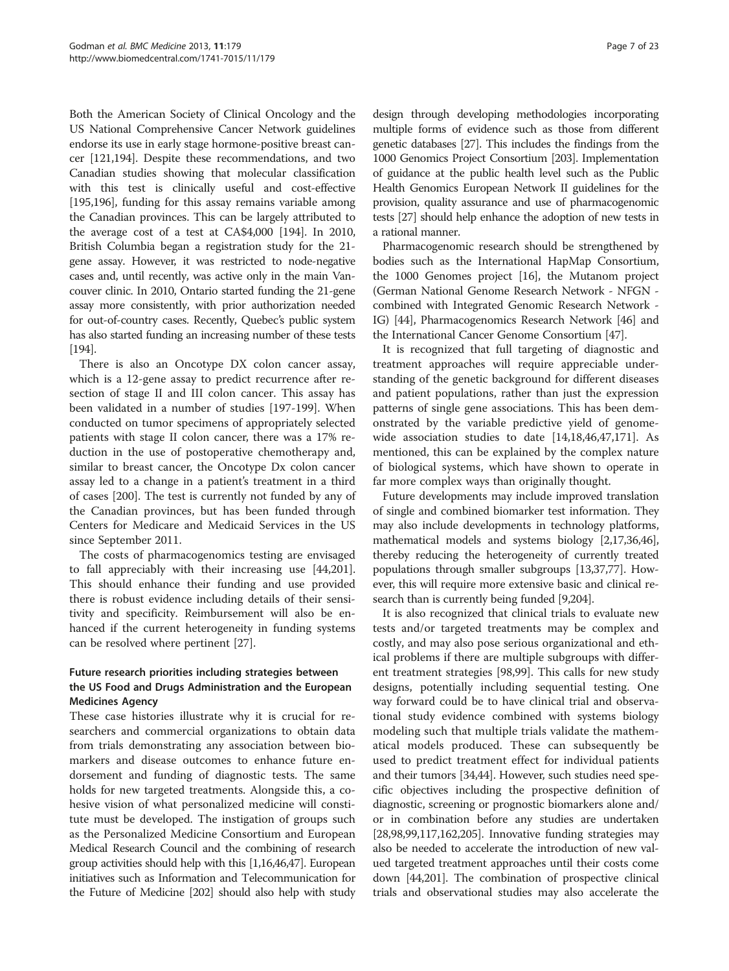Both the American Society of Clinical Oncology and the US National Comprehensive Cancer Network guidelines endorse its use in early stage hormone-positive breast cancer [[121](#page-19-0)[,194\]](#page-21-0). Despite these recommendations, and two Canadian studies showing that molecular classification with this test is clinically useful and cost-effective [[195,196\]](#page-21-0), funding for this assay remains variable among the Canadian provinces. This can be largely attributed to the average cost of a test at CA\$4,000 [\[194\]](#page-21-0). In 2010, British Columbia began a registration study for the 21 gene assay. However, it was restricted to node-negative cases and, until recently, was active only in the main Vancouver clinic. In 2010, Ontario started funding the 21-gene assay more consistently, with prior authorization needed for out-of-country cases. Recently, Quebec's public system has also started funding an increasing number of these tests [[194\]](#page-21-0).

There is also an Oncotype DX colon cancer assay, which is a 12-gene assay to predict recurrence after resection of stage II and III colon cancer. This assay has been validated in a number of studies [\[197](#page-21-0)-[199](#page-21-0)]. When conducted on tumor specimens of appropriately selected patients with stage II colon cancer, there was a 17% reduction in the use of postoperative chemotherapy and, similar to breast cancer, the Oncotype Dx colon cancer assay led to a change in a patient's treatment in a third of cases [[200\]](#page-21-0). The test is currently not funded by any of the Canadian provinces, but has been funded through Centers for Medicare and Medicaid Services in the US since September 2011.

The costs of pharmacogenomics testing are envisaged to fall appreciably with their increasing use [[44](#page-17-0)[,201](#page-21-0)]. This should enhance their funding and use provided there is robust evidence including details of their sensitivity and specificity. Reimbursement will also be enhanced if the current heterogeneity in funding systems can be resolved where pertinent [\[27\]](#page-17-0).

# Future research priorities including strategies between the US Food and Drugs Administration and the European Medicines Agency

These case histories illustrate why it is crucial for researchers and commercial organizations to obtain data from trials demonstrating any association between biomarkers and disease outcomes to enhance future endorsement and funding of diagnostic tests. The same holds for new targeted treatments. Alongside this, a cohesive vision of what personalized medicine will constitute must be developed. The instigation of groups such as the Personalized Medicine Consortium and European Medical Research Council and the combining of research group activities should help with this [\[1](#page-16-0)[,16,46,47](#page-17-0)]. European initiatives such as Information and Telecommunication for the Future of Medicine [[202\]](#page-21-0) should also help with study design through developing methodologies incorporating multiple forms of evidence such as those from different genetic databases [\[27\]](#page-17-0). This includes the findings from the 1000 Genomics Project Consortium [\[203\]](#page-21-0). Implementation of guidance at the public health level such as the Public Health Genomics European Network II guidelines for the provision, quality assurance and use of pharmacogenomic tests [\[27\]](#page-17-0) should help enhance the adoption of new tests in a rational manner.

Pharmacogenomic research should be strengthened by bodies such as the International HapMap Consortium, the 1000 Genomes project [\[16\]](#page-17-0), the Mutanom project (German National Genome Research Network - NFGN combined with Integrated Genomic Research Network - IG) [\[44\]](#page-17-0), Pharmacogenomics Research Network [\[46\]](#page-17-0) and the International Cancer Genome Consortium [[47](#page-17-0)].

It is recognized that full targeting of diagnostic and treatment approaches will require appreciable understanding of the genetic background for different diseases and patient populations, rather than just the expression patterns of single gene associations. This has been demonstrated by the variable predictive yield of genomewide association studies to date [\[14](#page-16-0)[,18,46,47,](#page-17-0)[171\]](#page-20-0). As mentioned, this can be explained by the complex nature of biological systems, which have shown to operate in far more complex ways than originally thought.

Future developments may include improved translation of single and combined biomarker test information. They may also include developments in technology platforms, mathematical models and systems biology [\[2](#page-16-0)[,17,36,46](#page-17-0)], thereby reducing the heterogeneity of currently treated populations through smaller subgroups [\[13](#page-16-0)[,37,](#page-17-0)[77](#page-18-0)]. However, this will require more extensive basic and clinical research than is currently being funded [\[9](#page-16-0)[,204](#page-21-0)].

It is also recognized that clinical trials to evaluate new tests and/or targeted treatments may be complex and costly, and may also pose serious organizational and ethical problems if there are multiple subgroups with different treatment strategies [[98,99\]](#page-18-0). This calls for new study designs, potentially including sequential testing. One way forward could be to have clinical trial and observational study evidence combined with systems biology modeling such that multiple trials validate the mathematical models produced. These can subsequently be used to predict treatment effect for individual patients and their tumors [[34,44\]](#page-17-0). However, such studies need specific objectives including the prospective definition of diagnostic, screening or prognostic biomarkers alone and/ or in combination before any studies are undertaken [[28](#page-17-0),[98,99,](#page-18-0)[117](#page-19-0)[,162,](#page-20-0)[205](#page-21-0)]. Innovative funding strategies may also be needed to accelerate the introduction of new valued targeted treatment approaches until their costs come down [[44,](#page-17-0)[201](#page-21-0)]. The combination of prospective clinical trials and observational studies may also accelerate the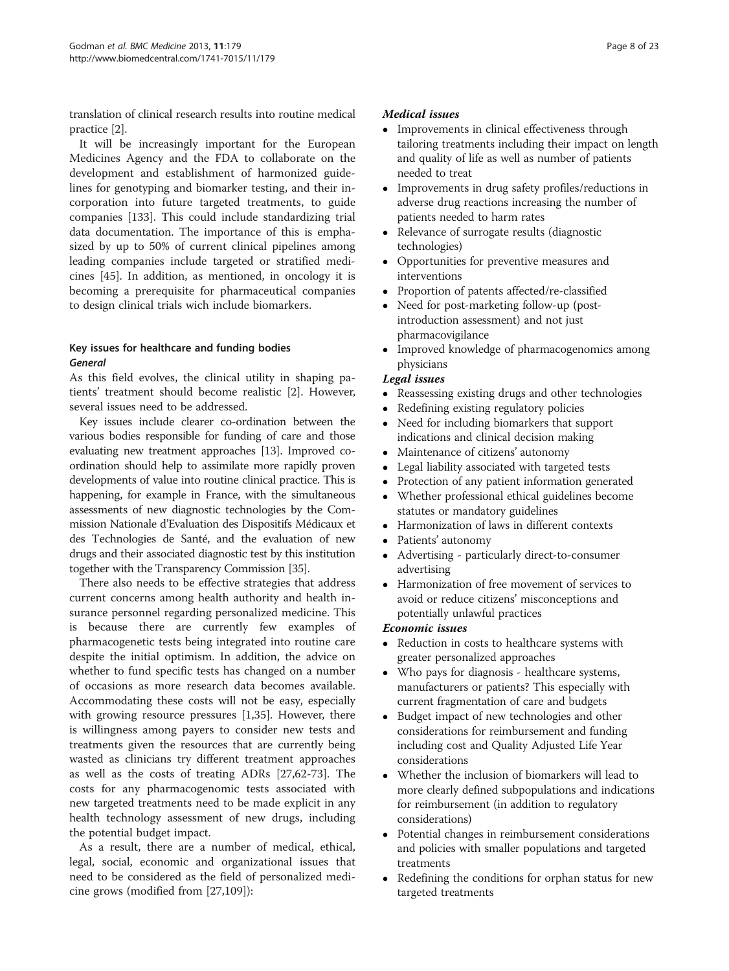translation of clinical research results into routine medical practice [[2\]](#page-16-0).

It will be increasingly important for the European Medicines Agency and the FDA to collaborate on the development and establishment of harmonized guidelines for genotyping and biomarker testing, and their incorporation into future targeted treatments, to guide companies [[133](#page-19-0)]. This could include standardizing trial data documentation. The importance of this is emphasized by up to 50% of current clinical pipelines among leading companies include targeted or stratified medicines [[45\]](#page-17-0). In addition, as mentioned, in oncology it is becoming a prerequisite for pharmaceutical companies to design clinical trials wich include biomarkers.

#### Key issues for healthcare and funding bodies General

As this field evolves, the clinical utility in shaping patients' treatment should become realistic [[2\]](#page-16-0). However, several issues need to be addressed.

Key issues include clearer co-ordination between the various bodies responsible for funding of care and those evaluating new treatment approaches [\[13\]](#page-16-0). Improved coordination should help to assimilate more rapidly proven developments of value into routine clinical practice. This is happening, for example in France, with the simultaneous assessments of new diagnostic technologies by the Commission Nationale d'Evaluation des Dispositifs Médicaux et des Technologies de Santé, and the evaluation of new drugs and their associated diagnostic test by this institution together with the Transparency Commission [[35](#page-17-0)].

There also needs to be effective strategies that address current concerns among health authority and health insurance personnel regarding personalized medicine. This is because there are currently few examples of pharmacogenetic tests being integrated into routine care despite the initial optimism. In addition, the advice on whether to fund specific tests has changed on a number of occasions as more research data becomes available. Accommodating these costs will not be easy, especially with growing resource pressures [[1,](#page-16-0)[35\]](#page-17-0). However, there is willingness among payers to consider new tests and treatments given the resources that are currently being wasted as clinicians try different treatment approaches as well as the costs of treating ADRs [[27,](#page-17-0)[62-73](#page-18-0)]. The costs for any pharmacogenomic tests associated with new targeted treatments need to be made explicit in any health technology assessment of new drugs, including the potential budget impact.

As a result, there are a number of medical, ethical, legal, social, economic and organizational issues that need to be considered as the field of personalized medicine grows (modified from [[27](#page-17-0),[109](#page-19-0)]):

#### Medical issues

- Improvements in clinical effectiveness through tailoring treatments including their impact on length and quality of life as well as number of patients needed to treat
- Improvements in drug safety profiles/reductions in adverse drug reactions increasing the number of patients needed to harm rates
- Relevance of surrogate results (diagnostic technologies)
- Opportunities for preventive measures and interventions
- Proportion of patents affected/re-classified<br>• Need for post-marketing follow-up (post-
- Need for post-marketing follow-up (postintroduction assessment) and not just pharmacovigilance
- Improved knowledge of pharmacogenomics among physicians

#### Legal issues

- Reassessing existing drugs and other technologies
- Redefining existing regulatory policies<br>• Need for including biomarkers that su
- Need for including biomarkers that support indications and clinical decision making
- Maintenance of citizens' autonomy<br>• Legal liability associated with target
- Legal liability associated with targeted tests
- Protection of any patient information generated
- Whether professional ethical guidelines become statutes or mandatory guidelines
- Harmonization of laws in different contexts
- Patients' autonomy
- Advertising particularly direct-to-consumer advertising
- Harmonization of free movement of services to avoid or reduce citizens' misconceptions and potentially unlawful practices

#### Economic issues

- Reduction in costs to healthcare systems with greater personalized approaches
- Who pays for diagnosis healthcare systems, manufacturers or patients? This especially with current fragmentation of care and budgets
- Budget impact of new technologies and other considerations for reimbursement and funding including cost and Quality Adjusted Life Year considerations
- Whether the inclusion of biomarkers will lead to more clearly defined subpopulations and indications for reimbursement (in addition to regulatory considerations)
- Potential changes in reimbursement considerations and policies with smaller populations and targeted treatments
- Redefining the conditions for orphan status for new targeted treatments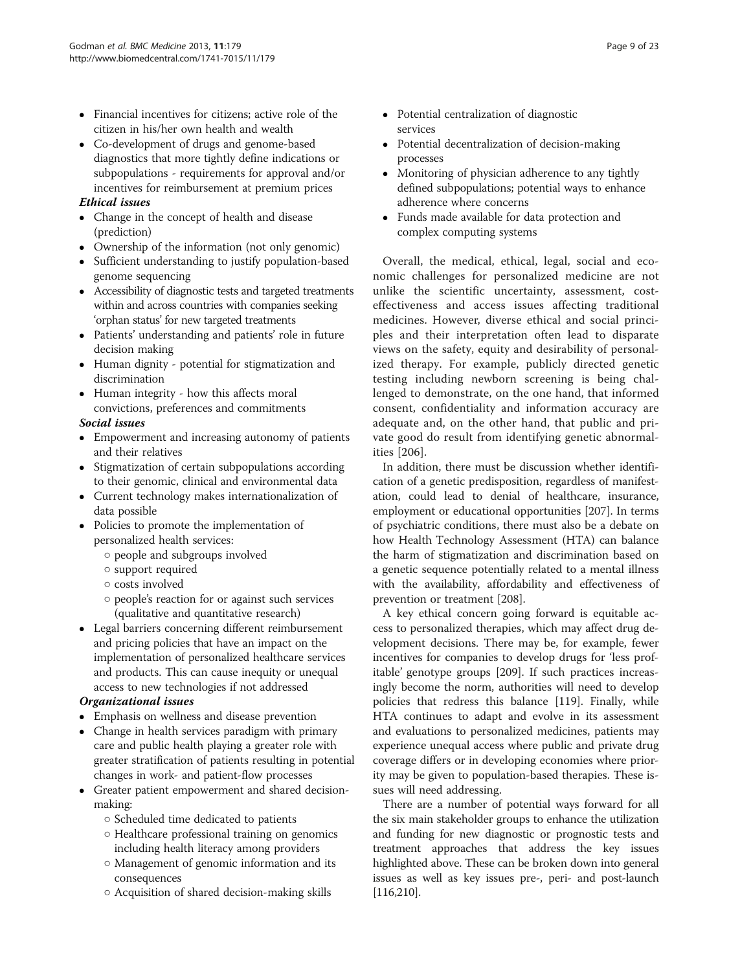- Financial incentives for citizens; active role of the citizen in his/her own health and wealth
- Co-development of drugs and genome-based diagnostics that more tightly define indications or subpopulations - requirements for approval and/or incentives for reimbursement at premium prices

#### Ethical issues

- Change in the concept of health and disease (prediction)
- Ownership of the information (not only genomic)
- Sufficient understanding to justify population-based genome sequencing
- Accessibility of diagnostic tests and targeted treatments within and across countries with companies seeking 'orphan status' for new targeted treatments
- Patients' understanding and patients' role in future decision making
- Human dignity potential for stigmatization and discrimination
- Human integrity how this affects moral convictions, preferences and commitments

#### Social issues

- Empowerment and increasing autonomy of patients and their relatives
- Stigmatization of certain subpopulations according to their genomic, clinical and environmental data
- Current technology makes internationalization of data possible
- Policies to promote the implementation of
	- personalized health services:
		- people and subgroups involved
		- support required ○ costs involved
		-
		- people's reaction for or against such services (qualitative and quantitative research)
- Legal barriers concerning different reimbursement and pricing policies that have an impact on the implementation of personalized healthcare services and products. This can cause inequity or unequal access to new technologies if not addressed

# Organizational issues

- Emphasis on wellness and disease prevention
- Change in health services paradigm with primary care and public health playing a greater role with greater stratification of patients resulting in potential changes in work- and patient-flow processes
- Greater patient empowerment and shared decisionmaking:
	- Scheduled time dedicated to patients
	- Healthcare professional training on genomics including health literacy among providers
	- Management of genomic information and its consequences
	- Acquisition of shared decision-making skills
- Potential centralization of diagnostic services
- Potential decentralization of decision-making processes
- Monitoring of physician adherence to any tightly defined subpopulations; potential ways to enhance adherence where concerns
- Funds made available for data protection and complex computing systems

Overall, the medical, ethical, legal, social and economic challenges for personalized medicine are not unlike the scientific uncertainty, assessment, costeffectiveness and access issues affecting traditional medicines. However, diverse ethical and social principles and their interpretation often lead to disparate views on the safety, equity and desirability of personalized therapy. For example, publicly directed genetic testing including newborn screening is being challenged to demonstrate, on the one hand, that informed consent, confidentiality and information accuracy are adequate and, on the other hand, that public and private good do result from identifying genetic abnormalities [[206](#page-21-0)].

In addition, there must be discussion whether identification of a genetic predisposition, regardless of manifestation, could lead to denial of healthcare, insurance, employment or educational opportunities [[207\]](#page-21-0). In terms of psychiatric conditions, there must also be a debate on how Health Technology Assessment (HTA) can balance the harm of stigmatization and discrimination based on a genetic sequence potentially related to a mental illness with the availability, affordability and effectiveness of prevention or treatment [\[208](#page-21-0)].

A key ethical concern going forward is equitable access to personalized therapies, which may affect drug development decisions. There may be, for example, fewer incentives for companies to develop drugs for 'less profitable' genotype groups [\[209](#page-21-0)]. If such practices increasingly become the norm, authorities will need to develop policies that redress this balance [[119](#page-19-0)]. Finally, while HTA continues to adapt and evolve in its assessment and evaluations to personalized medicines, patients may experience unequal access where public and private drug coverage differs or in developing economies where priority may be given to population-based therapies. These issues will need addressing.

There are a number of potential ways forward for all the six main stakeholder groups to enhance the utilization and funding for new diagnostic or prognostic tests and treatment approaches that address the key issues highlighted above. These can be broken down into general issues as well as key issues pre-, peri- and post-launch [[116](#page-19-0)[,210\]](#page-21-0).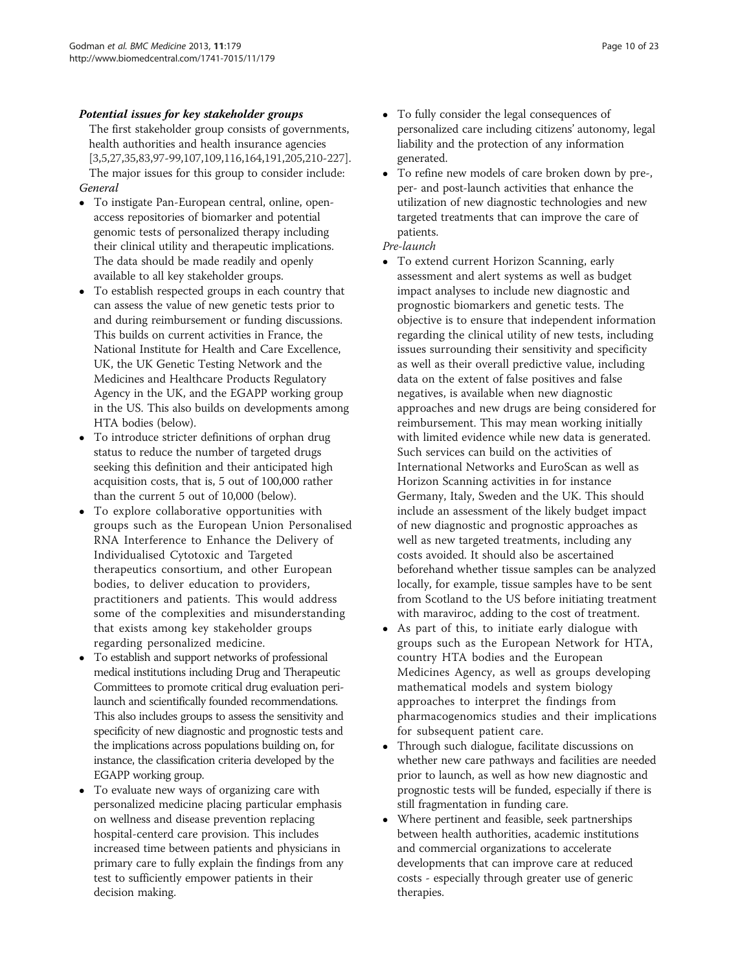# Potential issues for key stakeholder groups

The first stakeholder group consists of governments, health authorities and health insurance agencies [[3,5,](#page-16-0)[27](#page-17-0),[35](#page-17-0)[,83,97-99,](#page-18-0)[107](#page-19-0),[109,116,](#page-19-0)[164](#page-20-0)[,191,205,210-227\]](#page-21-0). The major issues for this group to consider include: General

- To instigate Pan-European central, online, openaccess repositories of biomarker and potential genomic tests of personalized therapy including their clinical utility and therapeutic implications. The data should be made readily and openly available to all key stakeholder groups.
- To establish respected groups in each country that can assess the value of new genetic tests prior to and during reimbursement or funding discussions. This builds on current activities in France, the National Institute for Health and Care Excellence, UK, the UK Genetic Testing Network and the Medicines and Healthcare Products Regulatory Agency in the UK, and the EGAPP working group in the US. This also builds on developments among HTA bodies (below).
- To introduce stricter definitions of orphan drug status to reduce the number of targeted drugs seeking this definition and their anticipated high acquisition costs, that is, 5 out of 100,000 rather than the current 5 out of 10,000 (below).
- To explore collaborative opportunities with groups such as the European Union Personalised RNA Interference to Enhance the Delivery of Individualised Cytotoxic and Targeted therapeutics consortium, and other European bodies, to deliver education to providers, practitioners and patients. This would address some of the complexities and misunderstanding that exists among key stakeholder groups regarding personalized medicine.
- To establish and support networks of professional medical institutions including Drug and Therapeutic Committees to promote critical drug evaluation perilaunch and scientifically founded recommendations. This also includes groups to assess the sensitivity and specificity of new diagnostic and prognostic tests and the implications across populations building on, for instance, the classification criteria developed by the EGAPP working group.
- To evaluate new ways of organizing care with personalized medicine placing particular emphasis on wellness and disease prevention replacing hospital-centerd care provision. This includes increased time between patients and physicians in primary care to fully explain the findings from any test to sufficiently empower patients in their decision making.
- 
- To fully consider the legal consequences of personalized care including citizens' autonomy, legal liability and the protection of any information generated.
- To refine new models of care broken down by pre-, per- and post-launch activities that enhance the utilization of new diagnostic technologies and new targeted treatments that can improve the care of patients.

#### Pre-launch

- To extend current Horizon Scanning, early assessment and alert systems as well as budget impact analyses to include new diagnostic and prognostic biomarkers and genetic tests. The objective is to ensure that independent information regarding the clinical utility of new tests, including issues surrounding their sensitivity and specificity as well as their overall predictive value, including data on the extent of false positives and false negatives, is available when new diagnostic approaches and new drugs are being considered for reimbursement. This may mean working initially with limited evidence while new data is generated. Such services can build on the activities of International Networks and EuroScan as well as Horizon Scanning activities in for instance Germany, Italy, Sweden and the UK. This should include an assessment of the likely budget impact of new diagnostic and prognostic approaches as well as new targeted treatments, including any costs avoided. It should also be ascertained beforehand whether tissue samples can be analyzed locally, for example, tissue samples have to be sent from Scotland to the US before initiating treatment with maraviroc, adding to the cost of treatment.
- As part of this, to initiate early dialogue with groups such as the European Network for HTA, country HTA bodies and the European Medicines Agency, as well as groups developing mathematical models and system biology approaches to interpret the findings from pharmacogenomics studies and their implications for subsequent patient care.
- Through such dialogue, facilitate discussions on whether new care pathways and facilities are needed prior to launch, as well as how new diagnostic and prognostic tests will be funded, especially if there is still fragmentation in funding care.
- Where pertinent and feasible, seek partnerships between health authorities, academic institutions and commercial organizations to accelerate developments that can improve care at reduced costs - especially through greater use of generic therapies.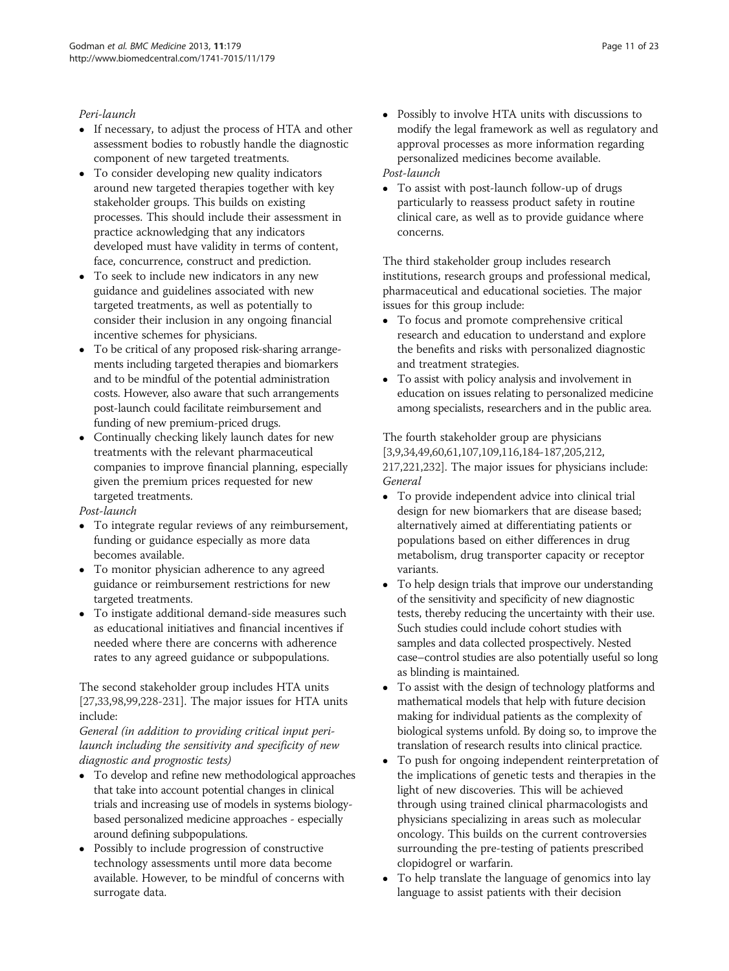# Peri-launch

- If necessary, to adjust the process of HTA and other assessment bodies to robustly handle the diagnostic component of new targeted treatments.
- To consider developing new quality indicators around new targeted therapies together with key stakeholder groups. This builds on existing processes. This should include their assessment in practice acknowledging that any indicators developed must have validity in terms of content, face, concurrence, construct and prediction.
- To seek to include new indicators in any new guidance and guidelines associated with new targeted treatments, as well as potentially to consider their inclusion in any ongoing financial incentive schemes for physicians.
- To be critical of any proposed risk-sharing arrangements including targeted therapies and biomarkers and to be mindful of the potential administration costs. However, also aware that such arrangements post-launch could facilitate reimbursement and funding of new premium-priced drugs.
- Continually checking likely launch dates for new treatments with the relevant pharmaceutical companies to improve financial planning, especially given the premium prices requested for new targeted treatments.

# Post-launch

- To integrate regular reviews of any reimbursement, funding or guidance especially as more data becomes available.
- To monitor physician adherence to any agreed guidance or reimbursement restrictions for new targeted treatments.
- To instigate additional demand-side measures such as educational initiatives and financial incentives if needed where there are concerns with adherence rates to any agreed guidance or subpopulations.

# The second stakeholder group includes HTA units [[27](#page-17-0),[33](#page-17-0)[,98,99,](#page-18-0)[228](#page-21-0)-[231](#page-22-0)]. The major issues for HTA units include:

General (in addition to providing critical input perilaunch including the sensitivity and specificity of new diagnostic and prognostic tests)

- To develop and refine new methodological approaches that take into account potential changes in clinical trials and increasing use of models in systems biologybased personalized medicine approaches - especially around defining subpopulations.
- Possibly to include progression of constructive technology assessments until more data become available. However, to be mindful of concerns with surrogate data.
- Possibly to involve HTA units with discussions to modify the legal framework as well as regulatory and approval processes as more information regarding personalized medicines become available. Post-launch
- To assist with post-launch follow-up of drugs particularly to reassess product safety in routine clinical care, as well as to provide guidance where concerns.

The third stakeholder group includes research institutions, research groups and professional medical, pharmaceutical and educational societies. The major issues for this group include:

- To focus and promote comprehensive critical research and education to understand and explore the benefits and risks with personalized diagnostic and treatment strategies.
- To assist with policy analysis and involvement in education on issues relating to personalized medicine among specialists, researchers and in the public area.

The fourth stakeholder group are physicians [[3,9,](#page-16-0)[34](#page-17-0),[49,60,61,](#page-17-0)[107,109,116](#page-19-0),[184-](#page-20-0)[187,205,212](#page-21-0), [217,221,](#page-21-0)[232](#page-22-0)]. The major issues for physicians include: General

- To provide independent advice into clinical trial design for new biomarkers that are disease based; alternatively aimed at differentiating patients or populations based on either differences in drug metabolism, drug transporter capacity or receptor variants.
- To help design trials that improve our understanding of the sensitivity and specificity of new diagnostic tests, thereby reducing the uncertainty with their use. Such studies could include cohort studies with samples and data collected prospectively. Nested case–control studies are also potentially useful so long as blinding is maintained.
- To assist with the design of technology platforms and mathematical models that help with future decision making for individual patients as the complexity of biological systems unfold. By doing so, to improve the translation of research results into clinical practice.
- To push for ongoing independent reinterpretation of the implications of genetic tests and therapies in the light of new discoveries. This will be achieved through using trained clinical pharmacologists and physicians specializing in areas such as molecular oncology. This builds on the current controversies surrounding the pre-testing of patients prescribed clopidogrel or warfarin.
- To help translate the language of genomics into lay language to assist patients with their decision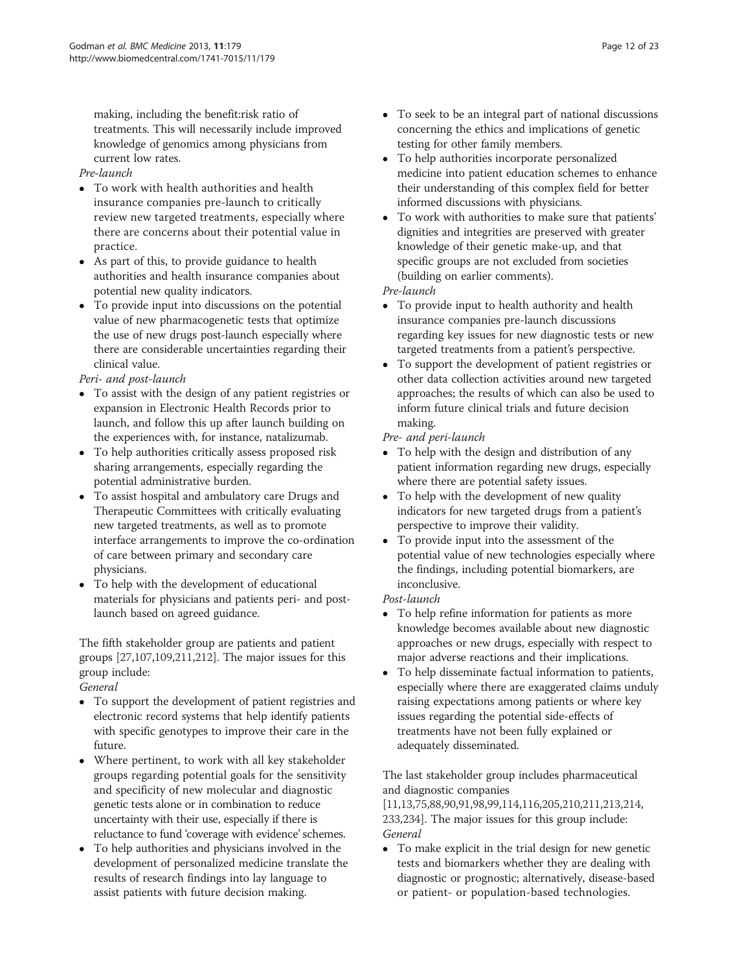making, including the benefit:risk ratio of treatments. This will necessarily include improved knowledge of genomics among physicians from current low rates.

# Pre-launch

- To work with health authorities and health insurance companies pre-launch to critically review new targeted treatments, especially where there are concerns about their potential value in practice.
- As part of this, to provide guidance to health authorities and health insurance companies about potential new quality indicators.
- To provide input into discussions on the potential value of new pharmacogenetic tests that optimize the use of new drugs post-launch especially where there are considerable uncertainties regarding their clinical value.

Peri- and post-launch

- To assist with the design of any patient registries or expansion in Electronic Health Records prior to launch, and follow this up after launch building on the experiences with, for instance, natalizumab.
- To help authorities critically assess proposed risk sharing arrangements, especially regarding the potential administrative burden.
- To assist hospital and ambulatory care Drugs and Therapeutic Committees with critically evaluating new targeted treatments, as well as to promote interface arrangements to improve the co-ordination of care between primary and secondary care physicians.
- To help with the development of educational materials for physicians and patients peri- and postlaunch based on agreed guidance.

The fifth stakeholder group are patients and patient groups [\[27,](#page-17-0)[107,109,](#page-19-0)[211](#page-21-0),[212\]](#page-21-0). The major issues for this group include:

General

- To support the development of patient registries and electronic record systems that help identify patients with specific genotypes to improve their care in the future.
- Where pertinent, to work with all key stakeholder groups regarding potential goals for the sensitivity and specificity of new molecular and diagnostic genetic tests alone or in combination to reduce uncertainty with their use, especially if there is reluctance to fund 'coverage with evidence' schemes.
- To help authorities and physicians involved in the development of personalized medicine translate the results of research findings into lay language to assist patients with future decision making.
- To seek to be an integral part of national discussions concerning the ethics and implications of genetic testing for other family members.
- To help authorities incorporate personalized medicine into patient education schemes to enhance their understanding of this complex field for better informed discussions with physicians.
- To work with authorities to make sure that patients' dignities and integrities are preserved with greater knowledge of their genetic make-up, and that specific groups are not excluded from societies (building on earlier comments).

# Pre-launch

- To provide input to health authority and health insurance companies pre-launch discussions regarding key issues for new diagnostic tests or new targeted treatments from a patient's perspective.
- To support the development of patient registries or other data collection activities around new targeted approaches; the results of which can also be used to inform future clinical trials and future decision making.

# Pre- and peri-launch

- To help with the design and distribution of any patient information regarding new drugs, especially where there are potential safety issues.
- To help with the development of new quality indicators for new targeted drugs from a patient's perspective to improve their validity.
- To provide input into the assessment of the potential value of new technologies especially where the findings, including potential biomarkers, are inconclusive.

# Post-launch

- To help refine information for patients as more knowledge becomes available about new diagnostic approaches or new drugs, especially with respect to major adverse reactions and their implications.
- To help disseminate factual information to patients, especially where there are exaggerated claims unduly raising expectations among patients or where key issues regarding the potential side-effects of treatments have not been fully explained or adequately disseminated.

The last stakeholder group includes pharmaceutical and diagnostic companies

[[11,13](#page-16-0)[,75,88,90,91,98,99,](#page-18-0)[114](#page-19-0),[116](#page-19-0)[,205,210,211,213,214,](#page-21-0) [233,234\]](#page-22-0). The major issues for this group include: General

 To make explicit in the trial design for new genetic tests and biomarkers whether they are dealing with diagnostic or prognostic; alternatively, disease-based or patient- or population-based technologies.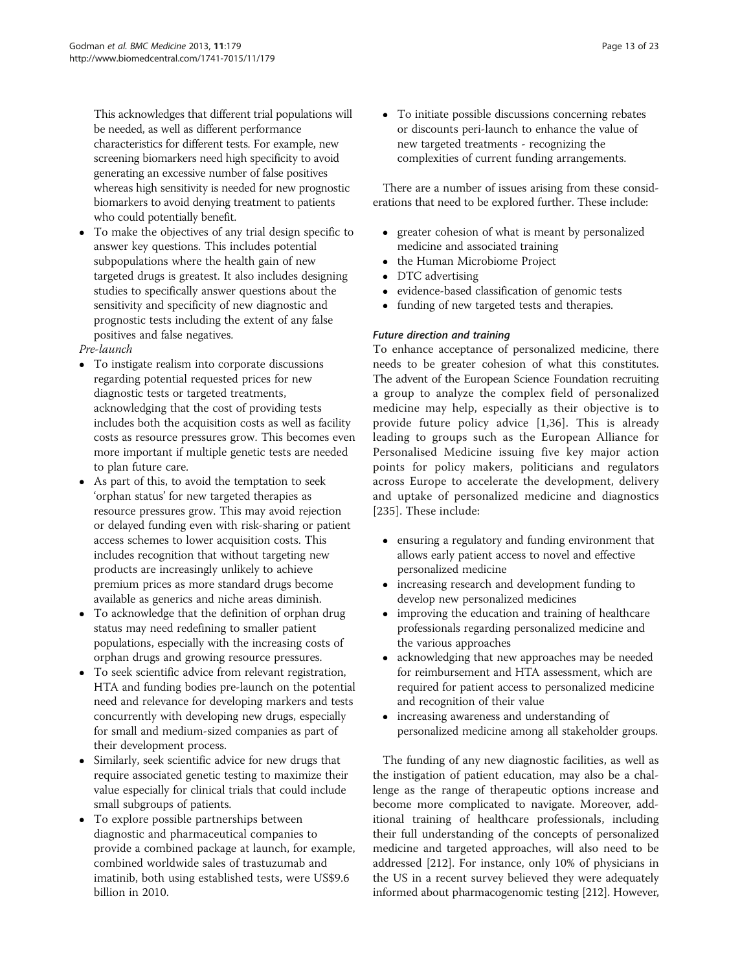This acknowledges that different trial populations will be needed, as well as different performance characteristics for different tests. For example, new screening biomarkers need high specificity to avoid generating an excessive number of false positives whereas high sensitivity is needed for new prognostic biomarkers to avoid denying treatment to patients who could potentially benefit.

 To make the objectives of any trial design specific to answer key questions. This includes potential subpopulations where the health gain of new targeted drugs is greatest. It also includes designing studies to specifically answer questions about the sensitivity and specificity of new diagnostic and prognostic tests including the extent of any false positives and false negatives.

#### Pre-launch

- To instigate realism into corporate discussions regarding potential requested prices for new diagnostic tests or targeted treatments, acknowledging that the cost of providing tests includes both the acquisition costs as well as facility costs as resource pressures grow. This becomes even more important if multiple genetic tests are needed to plan future care.
- As part of this, to avoid the temptation to seek 'orphan status' for new targeted therapies as resource pressures grow. This may avoid rejection or delayed funding even with risk-sharing or patient access schemes to lower acquisition costs. This includes recognition that without targeting new products are increasingly unlikely to achieve premium prices as more standard drugs become available as generics and niche areas diminish.
- To acknowledge that the definition of orphan drug status may need redefining to smaller patient populations, especially with the increasing costs of orphan drugs and growing resource pressures.
- To seek scientific advice from relevant registration, HTA and funding bodies pre-launch on the potential need and relevance for developing markers and tests concurrently with developing new drugs, especially for small and medium-sized companies as part of their development process.
- Similarly, seek scientific advice for new drugs that require associated genetic testing to maximize their value especially for clinical trials that could include small subgroups of patients.
- To explore possible partnerships between diagnostic and pharmaceutical companies to provide a combined package at launch, for example, combined worldwide sales of trastuzumab and imatinib, both using established tests, were US\$9.6 billion in 2010.

 To initiate possible discussions concerning rebates or discounts peri-launch to enhance the value of new targeted treatments - recognizing the complexities of current funding arrangements.

There are a number of issues arising from these considerations that need to be explored further. These include:

- greater cohesion of what is meant by personalized medicine and associated training
- the Human Microbiome Project<br>• DTC advertising
- DTC advertising
- evidence-based classification of genomic tests
- funding of new targeted tests and therapies.

# Future direction and training

To enhance acceptance of personalized medicine, there needs to be greater cohesion of what this constitutes. The advent of the European Science Foundation recruiting a group to analyze the complex field of personalized medicine may help, especially as their objective is to provide future policy advice [[1,](#page-16-0)[36](#page-17-0)]. This is already leading to groups such as the European Alliance for Personalised Medicine issuing five key major action points for policy makers, politicians and regulators across Europe to accelerate the development, delivery and uptake of personalized medicine and diagnostics [[235](#page-22-0)]. These include:

- ensuring a regulatory and funding environment that allows early patient access to novel and effective personalized medicine
- increasing research and development funding to develop new personalized medicines
- improving the education and training of healthcare professionals regarding personalized medicine and the various approaches
- acknowledging that new approaches may be needed for reimbursement and HTA assessment, which are required for patient access to personalized medicine and recognition of their value
- increasing awareness and understanding of personalized medicine among all stakeholder groups.

The funding of any new diagnostic facilities, as well as the instigation of patient education, may also be a challenge as the range of therapeutic options increase and become more complicated to navigate. Moreover, additional training of healthcare professionals, including their full understanding of the concepts of personalized medicine and targeted approaches, will also need to be addressed [[212](#page-21-0)]. For instance, only 10% of physicians in the US in a recent survey believed they were adequately informed about pharmacogenomic testing [[212](#page-21-0)]. However,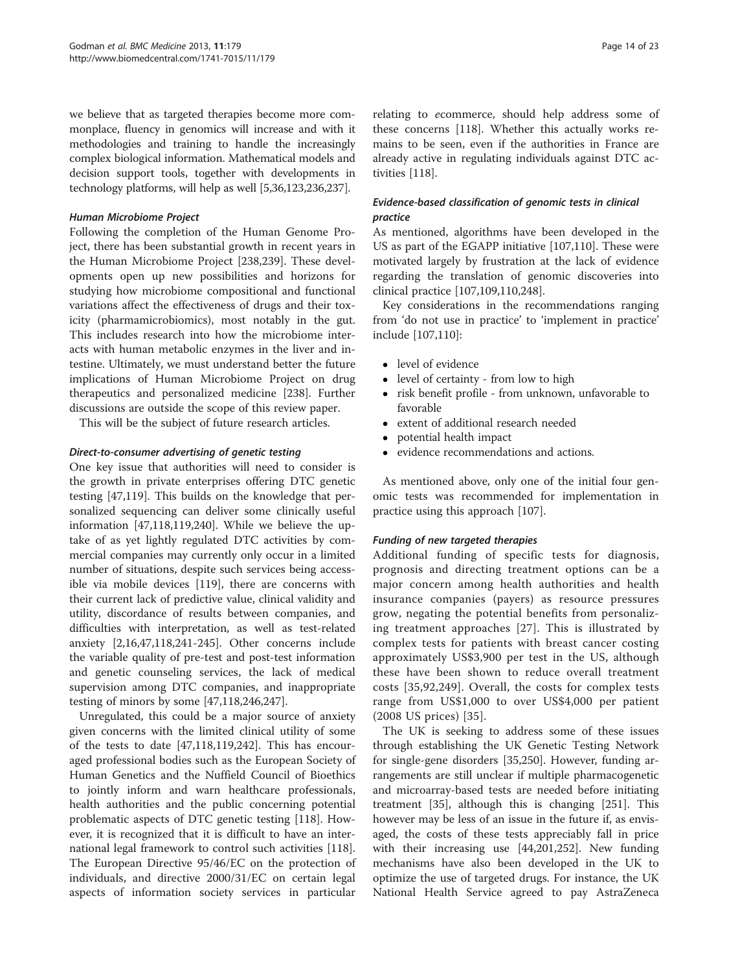we believe that as targeted therapies become more commonplace, fluency in genomics will increase and with it methodologies and training to handle the increasingly complex biological information. Mathematical models and decision support tools, together with developments in technology platforms, will help as well [\[5](#page-16-0)[,36,](#page-17-0)[123](#page-19-0)[,236,237](#page-22-0)].

#### Human Microbiome Project

Following the completion of the Human Genome Project, there has been substantial growth in recent years in the Human Microbiome Project [\[238,239\]](#page-22-0). These developments open up new possibilities and horizons for studying how microbiome compositional and functional variations affect the effectiveness of drugs and their toxicity (pharmamicrobiomics), most notably in the gut. This includes research into how the microbiome interacts with human metabolic enzymes in the liver and intestine. Ultimately, we must understand better the future implications of Human Microbiome Project on drug therapeutics and personalized medicine [\[238](#page-22-0)]. Further discussions are outside the scope of this review paper.

This will be the subject of future research articles.

#### Direct-to-consumer advertising of genetic testing

One key issue that authorities will need to consider is the growth in private enterprises offering DTC genetic testing [[47,](#page-17-0)[119](#page-19-0)]. This builds on the knowledge that personalized sequencing can deliver some clinically useful information [[47](#page-17-0),[118,119](#page-19-0)[,240\]](#page-22-0). While we believe the uptake of as yet lightly regulated DTC activities by commercial companies may currently only occur in a limited number of situations, despite such services being accessible via mobile devices [[119\]](#page-19-0), there are concerns with their current lack of predictive value, clinical validity and utility, discordance of results between companies, and difficulties with interpretation, as well as test-related anxiety [\[2](#page-16-0)[,16,47](#page-17-0)[,118,](#page-19-0)[241-245\]](#page-22-0). Other concerns include the variable quality of pre-test and post-test information and genetic counseling services, the lack of medical supervision among DTC companies, and inappropriate testing of minors by some [\[47](#page-17-0)[,118](#page-19-0)[,246,247\]](#page-22-0).

Unregulated, this could be a major source of anxiety given concerns with the limited clinical utility of some of the tests to date [[47](#page-17-0),[118,119](#page-19-0)[,242](#page-22-0)]. This has encouraged professional bodies such as the European Society of Human Genetics and the Nuffield Council of Bioethics to jointly inform and warn healthcare professionals, health authorities and the public concerning potential problematic aspects of DTC genetic testing [[118\]](#page-19-0). However, it is recognized that it is difficult to have an international legal framework to control such activities [\[118](#page-19-0)]. The European Directive 95/46/EC on the protection of individuals, and directive 2000/31/EC on certain legal aspects of information society services in particular relating to ecommerce, should help address some of these concerns [[118](#page-19-0)]. Whether this actually works remains to be seen, even if the authorities in France are already active in regulating individuals against DTC activities [[118](#page-19-0)].

#### Evidence-based classification of genomic tests in clinical practice

As mentioned, algorithms have been developed in the US as part of the EGAPP initiative [\[107,110\]](#page-19-0). These were motivated largely by frustration at the lack of evidence regarding the translation of genomic discoveries into clinical practice [[107,109](#page-19-0),[110](#page-19-0)[,248](#page-22-0)].

Key considerations in the recommendations ranging from 'do not use in practice' to 'implement in practice' include [[107](#page-19-0),[110](#page-19-0)]:

- level of evidence
- level of certainty from low to high
- risk benefit profile from unknown, unfavorable to favorable
- extent of additional research needed
- potential health impact
- evidence recommendations and actions.

As mentioned above, only one of the initial four genomic tests was recommended for implementation in practice using this approach [\[107\]](#page-19-0).

#### Funding of new targeted therapies

Additional funding of specific tests for diagnosis, prognosis and directing treatment options can be a major concern among health authorities and health insurance companies (payers) as resource pressures grow, negating the potential benefits from personalizing treatment approaches [\[27](#page-17-0)]. This is illustrated by complex tests for patients with breast cancer costing approximately US\$3,900 per test in the US, although these have been shown to reduce overall treatment costs [\[35,](#page-17-0)[92](#page-18-0)[,249\]](#page-22-0). Overall, the costs for complex tests range from US\$1,000 to over US\$4,000 per patient (2008 US prices) [[35\]](#page-17-0).

The UK is seeking to address some of these issues through establishing the UK Genetic Testing Network for single-gene disorders [\[35](#page-17-0)[,250\]](#page-22-0). However, funding arrangements are still unclear if multiple pharmacogenetic and microarray-based tests are needed before initiating treatment [[35](#page-17-0)], although this is changing [[251](#page-22-0)]. This however may be less of an issue in the future if, as envisaged, the costs of these tests appreciably fall in price with their increasing use [\[44](#page-17-0)[,201,](#page-21-0)[252\]](#page-22-0). New funding mechanisms have also been developed in the UK to optimize the use of targeted drugs. For instance, the UK National Health Service agreed to pay AstraZeneca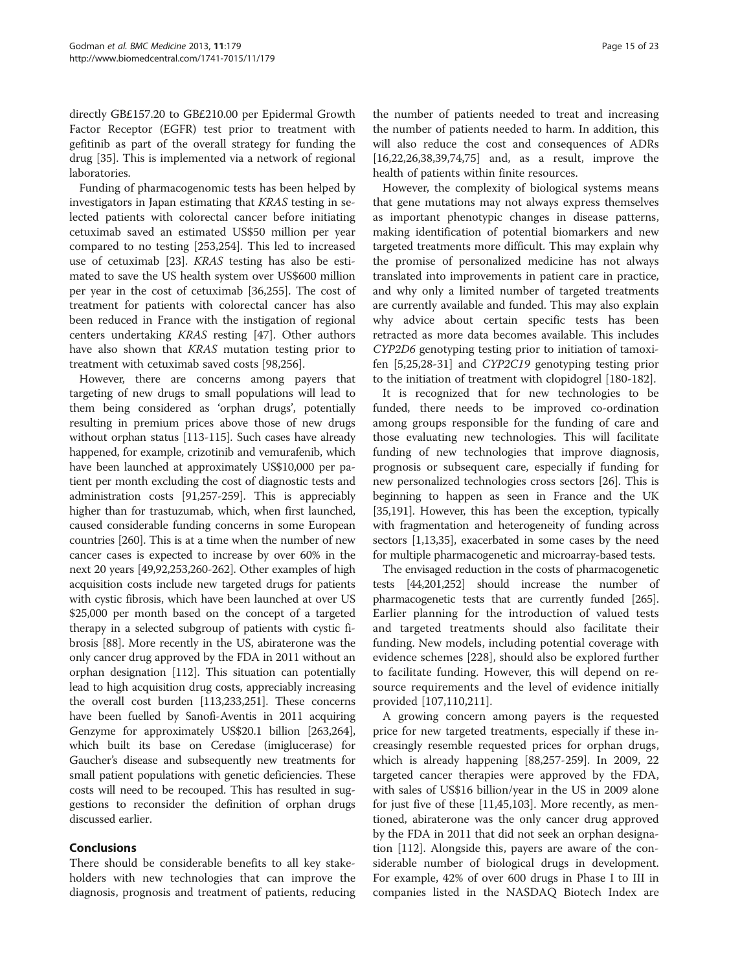directly GB£157.20 to GB£210.00 per Epidermal Growth Factor Receptor (EGFR) test prior to treatment with gefitinib as part of the overall strategy for funding the drug [[35\]](#page-17-0). This is implemented via a network of regional laboratories.

Funding of pharmacogenomic tests has been helped by investigators in Japan estimating that KRAS testing in selected patients with colorectal cancer before initiating cetuximab saved an estimated US\$50 million per year compared to no testing [[253,254](#page-22-0)]. This led to increased use of cetuximab [\[23](#page-17-0)]. KRAS testing has also be estimated to save the US health system over US\$600 million per year in the cost of cetuximab [[36,](#page-17-0)[255](#page-22-0)]. The cost of treatment for patients with colorectal cancer has also been reduced in France with the instigation of regional centers undertaking KRAS resting [\[47](#page-17-0)]. Other authors have also shown that KRAS mutation testing prior to treatment with cetuximab saved costs [\[98](#page-18-0)[,256\]](#page-22-0).

However, there are concerns among payers that targeting of new drugs to small populations will lead to them being considered as 'orphan drugs', potentially resulting in premium prices above those of new drugs without orphan status [[113](#page-19-0)-[115](#page-19-0)]. Such cases have already happened, for example, crizotinib and vemurafenib, which have been launched at approximately US\$10,000 per patient per month excluding the cost of diagnostic tests and administration costs [[91](#page-18-0)[,257-259\]](#page-22-0). This is appreciably higher than for trastuzumab, which, when first launched, caused considerable funding concerns in some European countries [[260](#page-22-0)]. This is at a time when the number of new cancer cases is expected to increase by over 60% in the next 20 years [\[49](#page-17-0)[,92,](#page-18-0)[253,260-262\]](#page-22-0). Other examples of high acquisition costs include new targeted drugs for patients with cystic fibrosis, which have been launched at over US \$25,000 per month based on the concept of a targeted therapy in a selected subgroup of patients with cystic fibrosis [[88](#page-18-0)]. More recently in the US, abiraterone was the only cancer drug approved by the FDA in 2011 without an orphan designation [[112](#page-19-0)]. This situation can potentially lead to high acquisition drug costs, appreciably increasing the overall cost burden [[113](#page-19-0)[,233](#page-22-0),[251](#page-22-0)]. These concerns have been fuelled by Sanofi-Aventis in 2011 acquiring Genzyme for approximately US\$20.1 billion [\[263,264](#page-22-0)], which built its base on Ceredase (imiglucerase) for Gaucher's disease and subsequently new treatments for small patient populations with genetic deficiencies. These costs will need to be recouped. This has resulted in suggestions to reconsider the definition of orphan drugs discussed earlier.

# Conclusions

There should be considerable benefits to all key stakeholders with new technologies that can improve the diagnosis, prognosis and treatment of patients, reducing

the number of patients needed to treat and increasing the number of patients needed to harm. In addition, this will also reduce the cost and consequences of ADRs [[16,22,26,38,39,](#page-17-0)[74,75](#page-18-0)] and, as a result, improve the health of patients within finite resources.

However, the complexity of biological systems means that gene mutations may not always express themselves as important phenotypic changes in disease patterns, making identification of potential biomarkers and new targeted treatments more difficult. This may explain why the promise of personalized medicine has not always translated into improvements in patient care in practice, and why only a limited number of targeted treatments are currently available and funded. This may also explain why advice about certain specific tests has been retracted as more data becomes available. This includes CYP2D6 genotyping testing prior to initiation of tamoxifen [[5,](#page-16-0)[25,28-31](#page-17-0)] and CYP2C19 genotyping testing prior to the initiation of treatment with clopidogrel [[180-182\]](#page-20-0).

It is recognized that for new technologies to be funded, there needs to be improved co-ordination among groups responsible for the funding of care and those evaluating new technologies. This will facilitate funding of new technologies that improve diagnosis, prognosis or subsequent care, especially if funding for new personalized technologies cross sectors [\[26](#page-17-0)]. This is beginning to happen as seen in France and the UK [[35](#page-17-0),[191](#page-21-0)]. However, this has been the exception, typically with fragmentation and heterogeneity of funding across sectors [[1,13](#page-16-0)[,35\]](#page-17-0), exacerbated in some cases by the need for multiple pharmacogenetic and microarray-based tests.

The envisaged reduction in the costs of pharmacogenetic tests [\[44,](#page-17-0)[201,](#page-21-0)[252](#page-22-0)] should increase the number of pharmacogenetic tests that are currently funded [\[265](#page-22-0)]. Earlier planning for the introduction of valued tests and targeted treatments should also facilitate their funding. New models, including potential coverage with evidence schemes [[228\]](#page-21-0), should also be explored further to facilitate funding. However, this will depend on resource requirements and the level of evidence initially provided [[107,110,](#page-19-0)[211](#page-21-0)].

A growing concern among payers is the requested price for new targeted treatments, especially if these increasingly resemble requested prices for orphan drugs, which is already happening [[88,](#page-18-0)[257-259\]](#page-22-0). In 2009, 22 targeted cancer therapies were approved by the FDA, with sales of US\$16 billion/year in the US in 2009 alone for just five of these [\[11](#page-16-0)[,45](#page-17-0)[,103](#page-19-0)]. More recently, as mentioned, abiraterone was the only cancer drug approved by the FDA in 2011 that did not seek an orphan designation [\[112\]](#page-19-0). Alongside this, payers are aware of the considerable number of biological drugs in development. For example, 42% of over 600 drugs in Phase I to III in companies listed in the NASDAQ Biotech Index are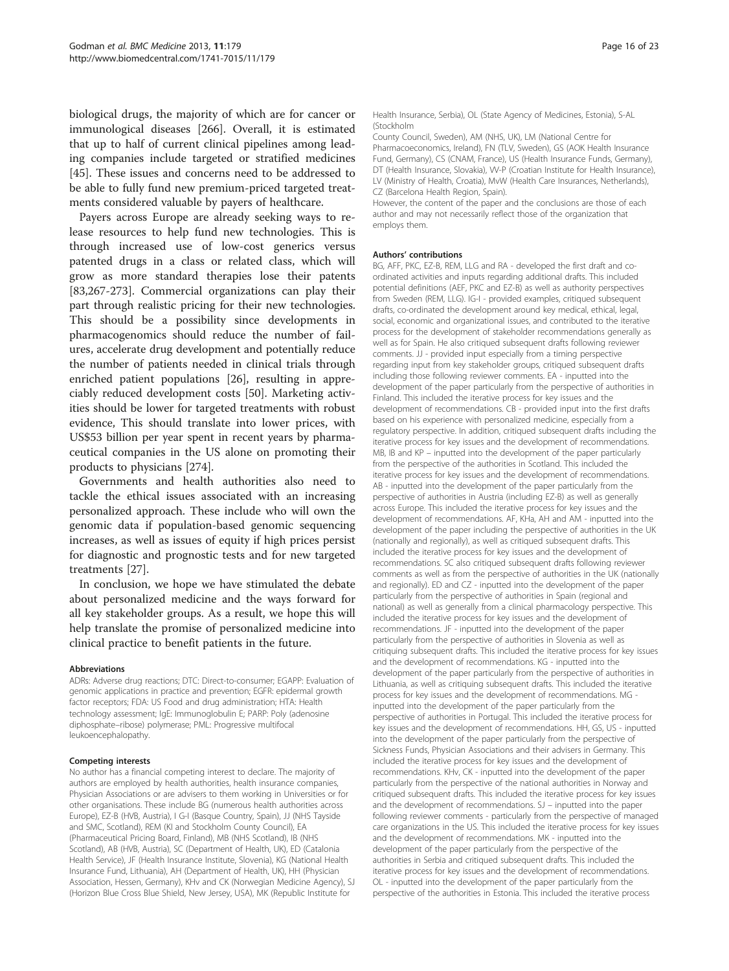biological drugs, the majority of which are for cancer or immunological diseases [[266](#page-22-0)]. Overall, it is estimated that up to half of current clinical pipelines among leading companies include targeted or stratified medicines [[45\]](#page-17-0). These issues and concerns need to be addressed to be able to fully fund new premium-priced targeted treatments considered valuable by payers of healthcare.

Payers across Europe are already seeking ways to release resources to help fund new technologies. This is through increased use of low-cost generics versus patented drugs in a class or related class, which will grow as more standard therapies lose their patents [[83,](#page-18-0)[267-273\]](#page-22-0). Commercial organizations can play their part through realistic pricing for their new technologies. This should be a possibility since developments in pharmacogenomics should reduce the number of failures, accelerate drug development and potentially reduce the number of patients needed in clinical trials through enriched patient populations [\[26](#page-17-0)], resulting in appreciably reduced development costs [\[50](#page-17-0)]. Marketing activities should be lower for targeted treatments with robust evidence, This should translate into lower prices, with US\$53 billion per year spent in recent years by pharmaceutical companies in the US alone on promoting their products to physicians [[274\]](#page-22-0).

Governments and health authorities also need to tackle the ethical issues associated with an increasing personalized approach. These include who will own the genomic data if population-based genomic sequencing increases, as well as issues of equity if high prices persist for diagnostic and prognostic tests and for new targeted treatments [[27\]](#page-17-0).

In conclusion, we hope we have stimulated the debate about personalized medicine and the ways forward for all key stakeholder groups. As a result, we hope this will help translate the promise of personalized medicine into clinical practice to benefit patients in the future.

#### Abbreviations

ADRs: Adverse drug reactions; DTC: Direct-to-consumer; EGAPP: Evaluation of genomic applications in practice and prevention; EGFR: epidermal growth factor receptors; FDA: US Food and drug administration; HTA: Health technology assessment; IgE: Immunoglobulin E; PARP: Poly (adenosine diphosphate–ribose) polymerase; PML: Progressive multifocal leukoencephalopathy.

#### Competing interests

No author has a financial competing interest to declare. The majority of authors are employed by health authorities, health insurance companies, Physician Associations or are advisers to them working in Universities or for other organisations. These include BG (numerous health authorities across Europe), EZ-B (HVB, Austria), I G-I (Basque Country, Spain), JJ (NHS Tayside and SMC, Scotland), REM (KI and Stockholm County Council), EA (Pharmaceutical Pricing Board, Finland), MB (NHS Scotland), IB (NHS Scotland), AB (HVB, Austria), SC (Department of Health, UK), ED (Catalonia Health Service), JF (Health Insurance Institute, Slovenia), KG (National Health Insurance Fund, Lithuania), AH (Department of Health, UK), HH (Physician Association, Hessen, Germany), KHv and CK (Norwegian Medicine Agency), SJ (Horizon Blue Cross Blue Shield, New Jersey, USA), MK (Republic Institute for

Health Insurance, Serbia), OL (State Agency of Medicines, Estonia), S-AL (Stockholm

County Council, Sweden), AM (NHS, UK), LM (National Centre for Pharmacoeconomics, Ireland), FN (TLV, Sweden), GS (AOK Health Insurance Fund, Germany), CS (CNAM, France), US (Health Insurance Funds, Germany), DT (Health Insurance, Slovakia), VV-P (Croatian Institute for Health Insurance), LV (Ministry of Health, Croatia), MvW (Health Care Insurances, Netherlands), CZ (Barcelona Health Region, Spain).

However, the content of the paper and the conclusions are those of each author and may not necessarily reflect those of the organization that employs them.

#### Authors' contributions

BG, AFF, PKC, EZ-B, REM, LLG and RA - developed the first draft and coordinated activities and inputs regarding additional drafts. This included potential definitions (AEF, PKC and EZ-B) as well as authority perspectives from Sweden (REM, LLG). IG-I - provided examples, critiqued subsequent drafts, co-ordinated the development around key medical, ethical, legal, social, economic and organizational issues, and contributed to the iterative process for the development of stakeholder recommendations generally as well as for Spain. He also critiqued subsequent drafts following reviewer comments. JJ - provided input especially from a timing perspective regarding input from key stakeholder groups, critiqued subsequent drafts including those following reviewer comments. EA - inputted into the development of the paper particularly from the perspective of authorities in Finland. This included the iterative process for key issues and the development of recommendations. CB - provided input into the first drafts based on his experience with personalized medicine, especially from a regulatory perspective. In addition, critiqued subsequent drafts including the iterative process for key issues and the development of recommendations. MB, IB and KP – inputted into the development of the paper particularly from the perspective of the authorities in Scotland. This included the iterative process for key issues and the development of recommendations. AB - inputted into the development of the paper particularly from the perspective of authorities in Austria (including EZ-B) as well as generally across Europe. This included the iterative process for key issues and the development of recommendations. AF, KHa, AH and AM - inputted into the development of the paper including the perspective of authorities in the UK (nationally and regionally), as well as critiqued subsequent drafts. This included the iterative process for key issues and the development of recommendations. SC also critiqued subsequent drafts following reviewer comments as well as from the perspective of authorities in the UK (nationally and regionally). ED and CZ - inputted into the development of the paper particularly from the perspective of authorities in Spain (regional and national) as well as generally from a clinical pharmacology perspective. This included the iterative process for key issues and the development of recommendations. JF - inputted into the development of the paper particularly from the perspective of authorities in Slovenia as well as critiquing subsequent drafts. This included the iterative process for key issues and the development of recommendations. KG - inputted into the development of the paper particularly from the perspective of authorities in Lithuania, as well as critiquing subsequent drafts. This included the iterative process for key issues and the development of recommendations. MG inputted into the development of the paper particularly from the perspective of authorities in Portugal. This included the iterative process for key issues and the development of recommendations. HH, GS, US - inputted into the development of the paper particularly from the perspective of Sickness Funds, Physician Associations and their advisers in Germany. This included the iterative process for key issues and the development of recommendations. KHv, CK - inputted into the development of the paper particularly from the perspective of the national authorities in Norway and critiqued subsequent drafts. This included the iterative process for key issues and the development of recommendations. SJ – inputted into the paper following reviewer comments - particularly from the perspective of managed care organizations in the US. This included the iterative process for key issues and the development of recommendations. MK - inputted into the development of the paper particularly from the perspective of the authorities in Serbia and critiqued subsequent drafts. This included the iterative process for key issues and the development of recommendations. OL - inputted into the development of the paper particularly from the perspective of the authorities in Estonia. This included the iterative process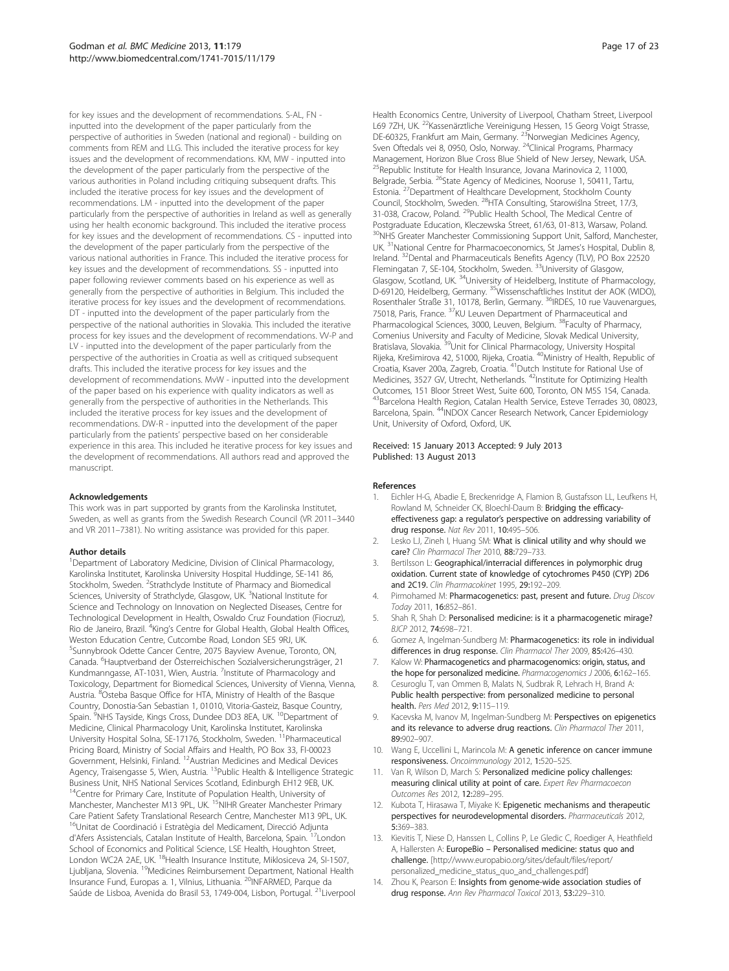<span id="page-16-0"></span>for key issues and the development of recommendations. S-AL, FN inputted into the development of the paper particularly from the perspective of authorities in Sweden (national and regional) - building on comments from REM and LLG. This included the iterative process for key issues and the development of recommendations. KM, MW - inputted into the development of the paper particularly from the perspective of the various authorities in Poland including critiquing subsequent drafts. This included the iterative process for key issues and the development of recommendations. LM - inputted into the development of the paper particularly from the perspective of authorities in Ireland as well as generally using her health economic background. This included the iterative process for key issues and the development of recommendations. CS - inputted into the development of the paper particularly from the perspective of the various national authorities in France. This included the iterative process for key issues and the development of recommendations. SS - inputted into paper following reviewer comments based on his experience as well as generally from the perspective of authorities in Belgium. This included the iterative process for key issues and the development of recommendations. DT - inputted into the development of the paper particularly from the perspective of the national authorities in Slovakia. This included the iterative process for key issues and the development of recommendations. VV-P and LV - inputted into the development of the paper particularly from the perspective of the authorities in Croatia as well as critiqued subsequent drafts. This included the iterative process for key issues and the development of recommendations. MvW - inputted into the development of the paper based on his experience with quality indicators as well as generally from the perspective of authorities in the Netherlands. This included the iterative process for key issues and the development of recommendations. DW-R - inputted into the development of the paper particularly from the patients' perspective based on her considerable experience in this area. This included he iterative process for key issues and the development of recommendations. All authors read and approved the manuscript.

#### Acknowledgements

This work was in part supported by grants from the Karolinska Institutet, Sweden, as well as grants from the Swedish Research Council (VR 2011–3440 and VR 2011–7381). No writing assistance was provided for this paper.

#### Author details

<sup>1</sup>Department of Laboratory Medicine, Division of Clinical Pharmacology, Karolinska Institutet, Karolinska University Hospital Huddinge, SE-141 86, Stockholm, Sweden. <sup>2</sup>Strathclyde Institute of Pharmacy and Biomedical Sciences, University of Strathclyde, Glasgow, UK. <sup>3</sup>National Institute for Science and Technology on Innovation on Neglected Diseases, Centre for Technological Development in Health, Oswaldo Cruz Foundation (Fiocruz), Rio de Janeiro, Brazil. <sup>4</sup>King's Centre for Global Health, Global Health Offices, Weston Education Centre, Cutcombe Road, London SE5 9RJ, UK. 5 Sunnybrook Odette Cancer Centre, 2075 Bayview Avenue, Toronto, ON, Canada. <sup>6</sup> Hauptverband der Österreichischen Sozialversicherungsträger, 21 Kundmanngasse, AT-1031, Wien, Austria. <sup>7</sup>Institute of Pharmacology and Toxicology, Department for Biomedical Sciences, University of Vienna, Vienna, Austria. <sup>8</sup>Osteba Basque Office for HTA, Ministry of Health of the Basque Country, Donostia-San Sebastian 1, 01010, Vitoria-Gasteiz, Basque Country, Spain. <sup>9</sup>NHS Tayside, Kings Cross, Dundee DD3 8EA, UK. <sup>10</sup>Department of Medicine, Clinical Pharmacology Unit, Karolinska Institutet, Karolinska University Hospital Solna, SE-17176, Stockholm, Sweden. 11Pharmaceutical Pricing Board, Ministry of Social Affairs and Health, PO Box 33, FI-00023 Government, Helsinki, Finland. 12Austrian Medicines and Medical Devices Agency, Traisengasse 5, Wien, Austria. <sup>13</sup>Public Health & Intelligence Strategic Business Unit, NHS National Services Scotland, Edinburgh EH12 9EB, UK. <sup>14</sup>Centre for Primary Care, Institute of Population Health, University of Manchester, Manchester M13 9PL, UK. <sup>15</sup>NIHR Greater Manchester Primary Care Patient Safety Translational Research Centre, Manchester M13 9PL, UK. <sup>16</sup>Unitat de Coordinació i Estratègia del Medicament, Direcció Adjunta d'Afers Assistencials, Catalan Institute of Health, Barcelona, Spain. <sup>17</sup>London School of Economics and Political Science, LSE Health, Houghton Street, London WC2A 2AE, UK. <sup>18</sup>Health Insurance Institute, Miklosiceva 24, SI-1507, Ljubljana, Slovenia. 19Medicines Reimbursement Department, National Health Insurance Fund, Europas a. 1, Vilnius, Lithuania. <sup>20</sup>INFARMED, Parque da Saúde de Lisboa, Avenida do Brasil 53, 1749-004, Lisbon, Portugal. 21Liverpool Health Economics Centre, University of Liverpool, Chatham Street, Liverpool L69 7ZH, UK. <sup>22</sup>Kassenärztliche Vereinigung Hessen, 15 Georg Voigt Strasse, DE-60325, Frankfurt am Main, Germany. <sup>23</sup>Norwegian Medicines Agency, Sven Oftedals vei 8, 0950, Oslo, Norway. <sup>24</sup>Clinical Programs, Pharmacy Management, Horizon Blue Cross Blue Shield of New Jersey, Newark, USA. <sup>25</sup>Republic Institute for Health Insurance, Jovana Marinovica 2, 11000, Belgrade, Serbia. <sup>26</sup>State Agency of Medicines, Nooruse 1, 50411, Tartu, Estonia. 27Department of Healthcare Development, Stockholm County Council, Stockholm, Sweden. 28HTA Consulting, Starowiślna Street, 17/3, 31-038, Cracow, Poland. <sup>29</sup>Public Health School, The Medical Centre of Postgraduate Education, Kleczewska Street, 61/63, 01-813, Warsaw, Poland. <sup>30</sup>NHS Greater Manchester Commissioning Support Unit, Salford, Manchester, UK.<sup>31</sup>National Centre for Pharmacoeconomics, St James's Hospital, Dublin 8, Ireland. <sup>32</sup>Dental and Pharmaceuticals Benefits Agency (TLV), PO Box 22520 Flemingatan 7, SE-104, Stockholm, Sweden. 33University of Glasgow, Glasgow, Scotland, UK. 34University of Heidelberg, Institute of Pharmacology, D-69120, Heidelberg, Germany. 35Wissenschaftliches Institut der AOK (WIDO), Rosenthaler Straße 31, 10178, Berlin, Germany. <sup>36</sup>IRDES, 10 rue Vauvenargues, 75018, Paris, France. <sup>37</sup>KU Leuven Department of Pharmaceutical and Pharmacological Sciences, 3000, Leuven, Belgium. <sup>38</sup>Faculty of Pharmacy, Comenius University and Faculty of Medicine, Slovak Medical University, Bratislava, Slovakia. <sup>39</sup>Unit for Clinical Pharmacology, University Hospital Rijeka, Krešimirova 42, 51000, Rijeka, Croatia. 40Ministry of Health, Republic of Croatia, Ksaver 200a, Zagreb, Croatia. 41Dutch Institute for Rational Use of Medicines, 3527 GV, Utrecht, Netherlands. <sup>42</sup>Institute for Optimizing Health Outcomes, 151 Bloor Street West, Suite 600, Toronto, ON M5S 1S4, Canada. <sup>43</sup>Barcelona Health Region, Catalan Health Service, Esteve Terrades 30, 08023, Barcelona, Spain. 44INDOX Cancer Research Network, Cancer Epidemiology Unit, University of Oxford, Oxford, UK.

Received: 15 January 2013 Accepted: 9 July 2013 Published: 13 August 2013

#### References

- 1. Eichler H-G, Abadie E, Breckenridge A, Flamion B, Gustafsson LL, Leufkens H, Rowland M, Schneider CK, Bloechl-Daum B: Bridging the efficacyeffectiveness gap: a regulator's perspective on addressing variability of drug response. Nat Rev 2011, 10:495–506.
- 2. Lesko LJ, Zineh I, Huang SM: What is clinical utility and why should we care? Clin Pharmacol Ther 2010, 88:729-733.
- Bertilsson L: Geographical/interracial differences in polymorphic drug oxidation. Current state of knowledge of cytochromes P450 (CYP) 2D6 and 2C19. Clin Pharmacokinet 1995, 29:192–209.
- 4. Pirmohamed M: Pharmacogenetics: past, present and future. Drug Discov Today 2011, 16:852–861.
- 5. Shah R, Shah D: Personalised medicine: is it a pharmacogenetic mirage? BJCP 2012, 74:698–721.
- 6. Gomez A, Ingelman-Sundberg M: Pharmacogenetics: its role in individual differences in drug response. Clin Pharmacol Ther 2009, 85:426-430.
- 7. Kalow W: Pharmacogenetics and pharmacogenomics: origin, status, and the hope for personalized medicine. Pharmacogenomics J 2006, 6:162-165.
- 8. Cesuroglu T, van Ommen B, Malats N, Sudbrak R, Lehrach H, Brand A: Public health perspective: from personalized medicine to personal health. Pers Med 2012, 9:115–119.
- Kacevska M, Ivanov M, Ingelman-Sundberg M: Perspectives on epigenetics and its relevance to adverse drug reactions. Clin Pharmacol Ther 2011, 89:902–907.
- 10. Wang E, Uccellini L, Marincola M: A genetic inference on cancer immune responsiveness. Oncoimmunology 2012, 1:520–525.
- 11. Van R, Wilson D, March S: Personalized medicine policy challenges: measuring clinical utility at point of care. Expert Rev Pharmacoecon Outcomes Res 2012, 12:289–295.
- 12. Kubota T, Hirasawa T, Miyake K: Epigenetic mechanisms and therapeutic perspectives for neurodevelopmental disorders. Pharmaceuticals 2012, 5:369–383.
- 13. Kievitis T, Niese D, Hanssen L, Collins P, Le Gledic C, Roediger A, Heathfield A, Hallersten A: EuropeBio – Personalised medicine: status quo and challenge. [[http://www.europabio.org/sites/default/files/report/](http://www.europabio.org/sites/default/files/report/personalized_medicine_status_quo_and_challenges.pdf) [personalized\\_medicine\\_status\\_quo\\_and\\_challenges.pdf](http://www.europabio.org/sites/default/files/report/personalized_medicine_status_quo_and_challenges.pdf)]
- 14. Zhou K, Pearson E: Insights from genome-wide association studies of drug response. Ann Rev Pharmacol Toxicol 2013, 53:229–310.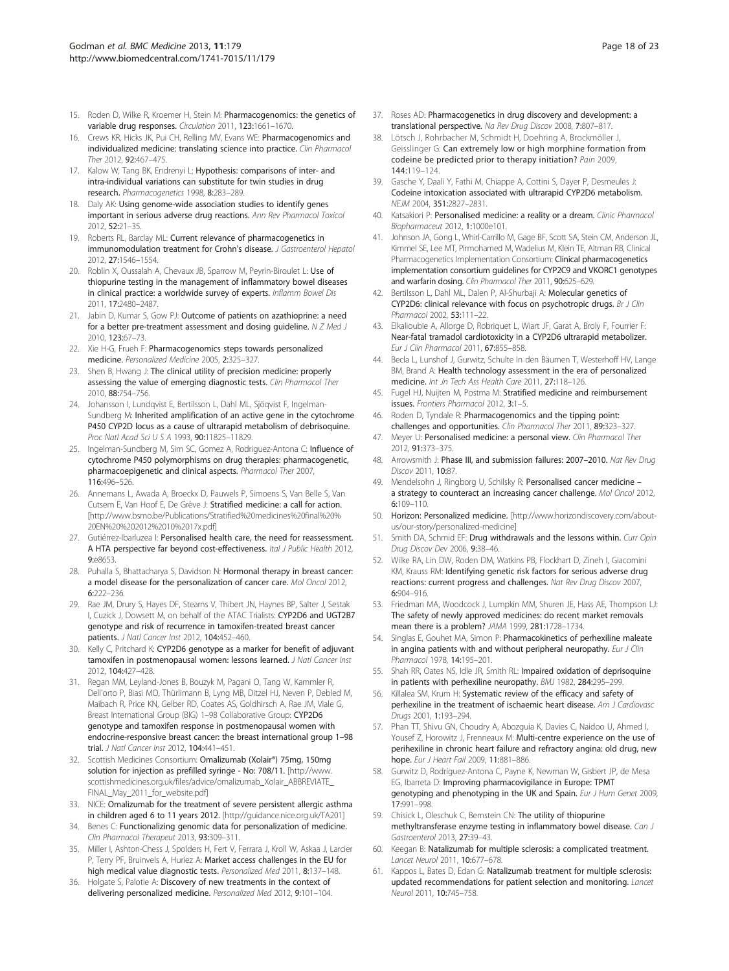- <span id="page-17-0"></span>15. Roden D, Wilke R, Kroemer H, Stein M: Pharmacogenomics: the genetics of variable drug responses. Circulation 2011, 123:1661–1670.
- 16. Crews KR, Hicks JK, Pui CH, Relling MV, Evans WE: Pharmacogenomics and individualized medicine: translating science into practice. Clin Pharmacol Ther 2012, 92:467–475.
- 17. Kalow W, Tang BK, Endrenyi L: Hypothesis: comparisons of inter- and intra-individual variations can substitute for twin studies in drug research. Pharmacogenetics 1998, 8:283–289.
- 18. Daly AK: Using genome-wide association studies to identify genes important in serious adverse drug reactions. Ann Rev Pharmacol Toxicol 2012, 52:21–35.
- 19. Roberts RL, Barclay ML: Current relevance of pharmacogenetics in immunomodulation treatment for Crohn's disease. J Gastroenterol Hepatol 2012, 27:1546–1554.
- 20. Roblin X, Oussalah A, Chevaux JB, Sparrow M, Peyrin-Biroulet L: Use of thiopurine testing in the management of inflammatory bowel diseases in clinical practice: a worldwide survey of experts. Inflamm Bowel Dis 2011, 17:2480–2487.
- 21. Jabin D, Kumar S, Gow PJ: Outcome of patients on azathioprine: a need for a better pre-treatment assessment and dosing quideline. N Z Med J 2010, 123:67–73.
- 22. Xie H-G, Frueh F: Pharmacogenomics steps towards personalized medicine. Personalized Medicine 2005, 2:325–327.
- 23. Shen B, Hwang J: The clinical utility of precision medicine: properly assessing the value of emerging diagnostic tests. Clin Pharmacol Ther 2010, 88:754–756.
- 24. Johansson I, Lundqvist E, Bertilsson L, Dahl ML, Sjöqvist F, Ingelman-Sundberg M: Inherited amplification of an active gene in the cytochrome P450 CYP2D locus as a cause of ultrarapid metabolism of debrisoquine. Proc Natl Acad Sci U S A 1993, 90:11825–11829.
- 25. Ingelman-Sundberg M, Sim SC, Gomez A, Rodriguez-Antona C: Influence of cytochrome P450 polymorphisms on drug therapies: pharmacogenetic, pharmacoepigenetic and clinical aspects. Pharmacol Ther 2007, 116:496–526.
- 26. Annemans L, Awada A, Broeckx D, Pauwels P, Simoens S, Van Belle S, Van Cutsem E, Van Hoof E, De Grève J: Stratified medicine: a call for action. [[http://www.bsmo.be/Publications/Stratified%20medicines%20final%20%](http://www.bsmo.be/Publications/Stratified%20medicines%20final%20%20EN%20%202012%2010%2017x.pdf) [20EN%20%202012%2010%2017x.pdf](http://www.bsmo.be/Publications/Stratified%20medicines%20final%20%20EN%20%202012%2010%2017x.pdf)]
- 27. Gutiérrez-Ibarluzea I: Personalised health care, the need for reassessment. A HTA perspective far beyond cost-effectiveness. Ital J Public Health 2012, 9:e8653.
- 28. Puhalla S, Bhattacharya S, Davidson N: Hormonal therapy in breast cancer: a model disease for the personalization of cancer care. Mol Oncol 2012,  $6:222-236$
- 29. Rae JM, Drury S, Hayes DF, Stearns V, Thibert JN, Haynes BP, Salter J, Sestak I, Cuzick J, Dowsett M, on behalf of the ATAC Trialists: CYP2D6 and UGT2B7 genotype and risk of recurrence in tamoxifen-treated breast cancer patients. J Natl Cancer Inst 2012, 104:452–460.
- 30. Kelly C, Pritchard K: CYP2D6 genotype as a marker for benefit of adjuvant tamoxifen in postmenopausal women: lessons learned. J Natl Cancer Inst 2012, 104:427–428.
- 31. Regan MM, Leyland-Jones B, Bouzyk M, Pagani O, Tang W, Kammler R, Dell'orto P, Biasi MO, Thürlimann B, Lyng MB, Ditzel HJ, Neven P, Debled M, Maibach R, Price KN, Gelber RD, Coates AS, Goldhirsch A, Rae JM, Viale G, Breast International Group (BIG) 1–98 Collaborative Group: CYP2D6 genotype and tamoxifen response in postmenopausal women with endocrine-responsive breast cancer: the breast international group 1–98 trial. J Natl Cancer Inst 2012, 104:441–451.
- 32. Scottish Medicines Consortium: Omalizumab (Xolair®) 75mg, 150mg solution for injection as prefilled syringe - No: 708/11. [[http://www.](http://www.scottishmedicines.org.uk/files/advice/omalizumab_Xolair_ABBREVIATE_FINAL_May_2011_for_website.pdf) [scottishmedicines.org.uk/files/advice/omalizumab\\_Xolair\\_ABBREVIATE\\_](http://www.scottishmedicines.org.uk/files/advice/omalizumab_Xolair_ABBREVIATE_FINAL_May_2011_for_website.pdf) [FINAL\\_May\\_2011\\_for\\_website.pdf](http://www.scottishmedicines.org.uk/files/advice/omalizumab_Xolair_ABBREVIATE_FINAL_May_2011_for_website.pdf)]
- 33. NICE: Omalizumab for the treatment of severe persistent allergic asthma in children aged 6 to 11 years 2012. [[http://guidance.nice.org.uk/TA201\]](http://guidance.nice.org.uk/TA201)
- 34. Benes C: Functionalizing genomic data for personalization of medicine. Clin Pharmacol Therapeut 2013, 93:309–311.
- 35. Miller I, Ashton-Chess J, Spolders H, Fert V, Ferrara J, Kroll W, Askaa J, Larcier P, Terry PF, Bruinvels A, Huriez A: Market access challenges in the EU for high medical value diagnostic tests. Personalized Med 2011, 8:137-148.
- 36. Holgate S, Palotie A: Discovery of new treatments in the context of delivering personalized medicine. Personalized Med 2012, 9:101–104.
- 37. Roses AD: Pharmacogenetics in drug discovery and development: a translational perspective. Na Rev Drug Discov 2008, 7:807–817.
- 38. Lötsch J, Rohrbacher M, Schmidt H, Doehring A, Brockmöller J, Geisslinger G: Can extremely low or high morphine formation from codeine be predicted prior to therapy initiation? Pain 2009, 144:119–124.
- 39. Gasche Y, Daali Y, Fathi M, Chiappe A, Cottini S, Dayer P, Desmeules J: Codeine intoxication associated with ultrarapid CYP2D6 metabolism. NEJM 2004, 351:2827–2831.
- 40. Katsakiori P: Personalised medicine: a reality or a dream. Clinic Pharmacol Biopharmaceut 2012, 1:1000e101.
- 41. Johnson JA, Gong L, Whirl-Carrillo M, Gage BF, Scott SA, Stein CM, Anderson JL, Kimmel SE, Lee MT, Pirmohamed M, Wadelius M, Klein TE, Altman RB, Clinical Pharmacogenetics Implementation Consortium: Clinical pharmacogenetics implementation consortium guidelines for CYP2C9 and VKORC1 genotypes and warfarin dosing. Clin Pharmacol Ther 2011, 90:625–629.
- 42. Bertilsson L, Dahl ML, Dalen P, Al-Shurbaji A: Molecular genetics of CYP2D6: clinical relevance with focus on psychotropic drugs. Br J Clin Pharmacol 2002, 53:111–22.
- 43. Elkalioubie A, Allorge D, Robriquet L, Wiart JF, Garat A, Broly F, Fourrier F: Near-fatal tramadol cardiotoxicity in a CYP2D6 ultrarapid metabolizer. Eur J Clin Pharmacol 2011, 67:855–858.
- 44. Becla L, Lunshof J, Gurwitz, Schulte In den Bäumen T, Westerhoff HV, Lange BM, Brand A: Health technology assessment in the era of personalized medicine. Int Jn Tech Ass Health Care 2011, 27:118–126.
- 45. Fugel HJ, Nuijten M, Postma M: Stratified medicine and reimbursement issues. Frontiers Pharmacol 2012, 3:1–5.
- 46. Roden D, Tyndale R: Pharmacogenomics and the tipping point: challenges and opportunities. Clin Pharmacol Ther 2011, 89:323–327.
- 47. Meyer U: Personalised medicine: a personal view. Clin Pharmacol Ther 2012, 91:373–375.
- 48. Arrowsmith J: Phase III, and submission failures: 2007–2010. Nat Rev Drug Discov 2011, 10:87
- 49. Mendelsohn J, Ringborg U, Schilsky R: Personalised cancer medicine a strategy to counteract an increasing cancer challenge. Mol Oncol 2012, 6:109–110.
- 50. Horizon: Personalized medicine. [[http://www.horizondiscovery.com/about](http://www.horizondiscovery.com/about-us/our-story/personalized-medicine)[us/our-story/personalized-medicine](http://www.horizondiscovery.com/about-us/our-story/personalized-medicine)]
- 51. Smith DA, Schmid EF: Drug withdrawals and the lessons within. Curr Opin Drug Discov Dev 2006, 9:38–46.
- 52. Wilke RA, Lin DW, Roden DM, Watkins PB, Flockhart D, Zineh I, Giacomini KM, Krauss RM: Identifying genetic risk factors for serious adverse drug reactions: current progress and challenges. Nat Rev Drug Discov 2007, 6:904–916.
- 53. Friedman MA, Woodcock J, Lumpkin MM, Shuren JE, Hass AE, Thompson LJ: The safety of newly approved medicines: do recent market removals mean there is a problem? JAMA 1999, 281:1728–1734.
- 54. Singlas E, Gouhet MA, Simon P: Pharmacokinetics of perhexiline maleate in angina patients with and without peripheral neuropathy. Eur J Clin Pharmacol 1978, 14:195–201.
- 55. Shah RR, Oates NS, Idle JR, Smith RL: Impaired oxidation of deprisoquine in patients with perhexiline neuropathy. BMJ 1982, 284:295–299.
- 56. Killalea SM, Krum H: Systematic review of the efficacy and safety of perhexiline in the treatment of ischaemic heart disease. Am J Cardiovasc Drugs 2001, 1:193–294.
- 57. Phan TT, Shivu GN, Choudry A, Abozguia K, Davies C, Naidoo U, Ahmed I, Yousef Z, Horowitz J, Frenneaux M: Multi-centre experience on the use of perihexiline in chronic heart failure and refractory angina: old drug, new hope. Eur J Heart Fail 2009, 11:881-886.
- 58. Gurwitz D, Rodríguez-Antona C, Payne K, Newman W, Gisbert JP, de Mesa EG, Ibarreta D: Improving pharmacovigilance in Europe: TPMT genotyping and phenotyping in the UK and Spain. Eur J Hum Genet 2009, 17:991–998.
- 59. Chisick L, Oleschuk C, Bernstein CN: The utility of thiopurine methyltransferase enzyme testing in inflammatory bowel disease. Can J Gastroenterol 2013, 27:39–43.
- 60. Keegan B: Natalizumab for multiple sclerosis: a complicated treatment. Lancet Neurol 2011, 10:677–678.
- 61. Kappos L, Bates D, Edan G: Natalizumab treatment for multiple sclerosis: updated recommendations for patient selection and monitoring. Lancet Neurol 2011, 10:745–758.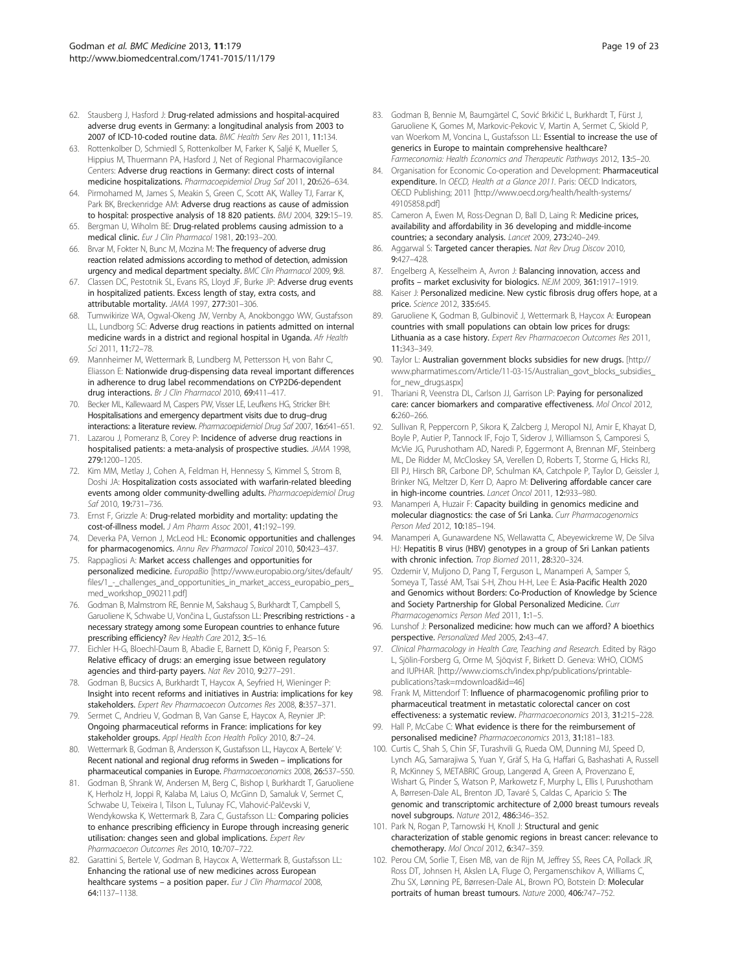- <span id="page-18-0"></span>62. Stausberg J, Hasford J: Drug-related admissions and hospital-acquired adverse drug events in Germany: a longitudinal analysis from 2003 to 2007 of ICD-10-coded routine data. BMC Health Serv Res 2011, 11:134.
- 63. Rottenkolber D, Schmiedl S, Rottenkolber M, Farker K, Saljé K, Mueller S, Hippius M, Thuermann PA, Hasford J, Net of Regional Pharmacovigilance Centers: Adverse drug reactions in Germany: direct costs of internal medicine hospitalizations. Pharmacoepidemiol Drug Saf 2011, 20:626–634.
- 64. Pirmohamed M, James S, Meakin S, Green C, Scott AK, Walley TJ, Farrar K, Park BK, Breckenridge AM: Adverse drug reactions as cause of admission to hospital: prospective analysis of 18 820 patients. BMJ 2004, 329:15–19.
- Bergman U, Wiholm BE: Drug-related problems causing admission to a medical clinic. Eur J Clin Pharmacol 1981, 20:193-200.
- 66. Brvar M, Fokter N, Bunc M, Mozina M: The frequency of adverse drug reaction related admissions according to method of detection, admission urgency and medical department specialty. BMC Clin Pharmacol 2009, 9:8.
- 67. Classen DC, Pestotnik SL, Evans RS, Lloyd JF, Burke JP: Adverse drug events in hospitalized patients. Excess length of stay, extra costs, and attributable mortality. JAMA 1997, 277:301–306.
- 68. Tumwikirize WA, Ogwal-Okeng JW, Vernby A, Anokbonggo WW, Gustafsson LL, Lundborg SC: Adverse drug reactions in patients admitted on internal medicine wards in a district and regional hospital in Uganda. Afr Health Sci 2011, 11:72–78.
- 69. Mannheimer M, Wettermark B, Lundberg M, Pettersson H, von Bahr C, Eliasson E: Nationwide drug-dispensing data reveal important differences in adherence to drug label recommendations on CYP2D6-dependent drug interactions. Br J Clin Pharmacol 2010, 69:411-417.
- 70. Becker ML, Kallewaard M, Caspers PW, Visser LE, Leufkens HG, Stricker BH: Hospitalisations and emergency department visits due to drug–drug interactions: a literature review. Pharmacoepidemiol Drug Saf 2007, 16:641–651.
- 71. Lazarou J, Pomeranz B, Corey P: Incidence of adverse drug reactions in hospitalised patients: a meta-analysis of prospective studies. JAMA 1998, 279:1200–1205.
- 72. Kim MM, Metlay J, Cohen A, Feldman H, Hennessy S, Kimmel S, Strom B, Doshi JA: Hospitalization costs associated with warfarin-related bleeding events among older community-dwelling adults. Pharmacoepidemiol Drug Saf 2010, 19:731–736.
- 73. Ernst F, Grizzle A: Drug-related morbidity and mortality: updating the cost-of-illness model. J Am Pharm Assoc 2001, 41:192–199.
- 74. Deverka PA, Vernon J, McLeod HL: Economic opportunities and challenges for pharmacogenomics. Annu Rev Pharmacol Toxicol 2010, 50:423–437.
- 75. Rappagliosi A: Market access challenges and opportunities for personalized medicine. EuropaBio [\[http://www.europabio.org/sites/default/](http://www.europabio.org/sites/default/files/1_-_challenges_and_opportunities_in_market_access_europabio_pers_med_workshop_090211.pdf) [files/1\\_-\\_challenges\\_and\\_opportunities\\_in\\_market\\_access\\_europabio\\_pers\\_](http://www.europabio.org/sites/default/files/1_-_challenges_and_opportunities_in_market_access_europabio_pers_med_workshop_090211.pdf) [med\\_workshop\\_090211.pdf](http://www.europabio.org/sites/default/files/1_-_challenges_and_opportunities_in_market_access_europabio_pers_med_workshop_090211.pdf)]
- 76. Godman B, Malmstrom RE, Bennie M, Sakshaug S, Burkhardt T, Campbell S, Garuoliene K, Schwabe U, Vončina L, Gustafsson LL: Prescribing restrictions - a necessary strategy among some European countries to enhance future prescribing efficiency? Rev Health Care 2012, 3:5–16.
- 77. Eichler H-G, Bloechl-Daum B, Abadie E, Barnett D, König F, Pearson S: Relative efficacy of drugs: an emerging issue between regulatory agencies and third-party payers. Nat Rev 2010, 9:277–291.
- 78. Godman B, Bucsics A, Burkhardt T, Haycox A, Seyfried H, Wieninger P: Insight into recent reforms and initiatives in Austria: implications for key stakeholders. Expert Rev Pharmacoecon Outcomes Res 2008, 8:357-371.
- 79. Sermet C, Andrieu V, Godman B, Van Ganse E, Haycox A, Reynier JP: Ongoing pharmaceutical reforms in France: implications for key stakeholder groups. Appl Health Econ Health Policy 2010, 8:7-24.
- 80. Wettermark B, Godman B, Andersson K, Gustafsson LL, Haycox A, Bertele' V: Recent national and regional drug reforms in Sweden – implications for pharmaceutical companies in Europe. Pharmacoeconomics 2008, 26:537–550.
- 81. Godman B, Shrank W, Andersen M, Berg C, Bishop I, Burkhardt T, Garuoliene K, Herholz H, Joppi R, Kalaba M, Laius O, McGinn D, Samaluk V, Sermet C, Schwabe U, Teixeira I, Tilson L, Tulunay FC, Vlahović-Palčevski V, Wendykowska K, Wettermark B, Zara C, Gustafsson LL: Comparing policies to enhance prescribing efficiency in Europe through increasing generic utilisation: changes seen and global implications. Expert Rev Pharmacoecon Outcomes Res 2010, 10:707–722.
- 82. Garattini S, Bertele V, Godman B, Haycox A, Wettermark B, Gustafsson LL: Enhancing the rational use of new medicines across European healthcare systems - a position paper. Eur J Clin Pharmacol 2008, 64:1137–1138.
- 83. Godman B, Bennie M, Baumgärtel C, Sović Brkičić L, Burkhardt T, Fürst J, Garuoliene K, Gomes M, Markovic-Pekovic V, Martin A, Sermet C, Skiold P, van Woerkom M, Voncina L, Gustafsson LL: Essential to increase the use of generics in Europe to maintain comprehensive healthcare? Farmeconomia: Health Economics and Therapeutic Pathways 2012, 13:5–20.
- 84. Organisation for Economic Co-operation and Development: Pharmaceutical expenditure. In OECD, Health at a Glance 2011. Paris: OECD Indicators, OECD Publishing; 2011 [\[http://www.oecd.org/health/health-systems/](http://www.oecd.org/health/health-systems/49105858.pdf) [49105858.pdf\]](http://www.oecd.org/health/health-systems/49105858.pdf)
- 85. Cameron A, Ewen M, Ross-Degnan D, Ball D, Laing R: Medicine prices, availability and affordability in 36 developing and middle-income countries; a secondary analysis. Lancet 2009, 273:240–249.
- 86. Aggarwal S: Targeted cancer therapies. Nat Rev Drug Discov 2010,  $9:427-428$
- 87. Engelberg A, Kesselheim A, Avron J: Balancing innovation, access and profits – market exclusivity for biologics. NEJM 2009, 361:1917–1919.
- 88. Kaiser J: Personalized medicine. New cystic fibrosis drug offers hope, at a price. Science 2012, 335:645.
- 89. Garuoliene K, Godman B, Gulbinovič J, Wettermark B, Haycox A: European countries with small populations can obtain low prices for drugs: Lithuania as a case history. Expert Rev Pharmacoecon Outcomes Res 2011, 11:343–349.
- 90. Taylor L: Australian government blocks subsidies for new drugs. [[http://](http://www.pharmatimes.com/Article/11-03-15/Australian_govt_blocks_subsidies_for_new_drugs.aspx) [www.pharmatimes.com/Article/11-03-15/Australian\\_govt\\_blocks\\_subsidies\\_](http://www.pharmatimes.com/Article/11-03-15/Australian_govt_blocks_subsidies_for_new_drugs.aspx) [for\\_new\\_drugs.aspx\]](http://www.pharmatimes.com/Article/11-03-15/Australian_govt_blocks_subsidies_for_new_drugs.aspx)
- 91. Thariani R, Veenstra DL, Carlson JJ, Garrison LP: Paying for personalized care: cancer biomarkers and comparative effectiveness. Mol Oncol 2012, 6:260–266.
- 92. Sullivan R, Peppercorn P, Sikora K, Zalcberg J, Meropol NJ, Amir E, Khayat D, Boyle P, Autier P, Tannock IF, Fojo T, Siderov J, Williamson S, Camporesi S, McVie JG, Purushotham AD, Naredi P, Eggermont A, Brennan MF, Steinberg ML, De Ridder M, McCloskey SA, Verellen D, Roberts T, Storme G, Hicks RJ, Ell PJ, Hirsch BR, Carbone DP, Schulman KA, Catchpole P, Taylor D, Geissler J, Brinker NG, Meltzer D, Kerr D, Aapro M: Delivering affordable cancer care in high-income countries. Lancet Oncol 2011, 12:933-980.
- 93. Manamperi A, Huzair F: Capacity building in genomics medicine and molecular diagnostics: the case of Sri Lanka. Curr Pharmacogenomics Person Med 2012, 10:185–194.
- 94. Manamperi A, Gunawardene NS, Wellawatta C, Abeyewickreme W, De Silva HJ: Hepatitis B virus (HBV) genotypes in a group of Sri Lankan patients with chronic infection. Trop Biomed 2011, 28:320–324.
- 95. Ozdemir V, Muljono D, Pang T, Ferguson L, Manamperi A, Samper S, Someya T, Tassé AM, Tsai S-H, Zhou H-H, Lee E: Asia-Pacific Health 2020 and Genomics without Borders: Co-Production of Knowledge by Science and Society Partnership for Global Personalized Medicine. Curr Pharmacogenomics Person Med 2011, 1:1-5.
- 96. Lunshof J: Personalized medicine: how much can we afford? A bioethics perspective. Personalized Med 2005, 2:43–47.
- 97. Clinical Pharmacology in Health Care, Teaching and Research. Edited by Rägo L, Sjölin-Forsberg G, Orme M, Sjöqvist F, Birkett D. Geneva: WHO, CIOMS and IUPHAR. [[http://www.cioms.ch/index.php/publications/printable](http://www.cioms.ch/index.php/publications/printable-publications?task=mdownload&id=46)[publications?task=mdownload&id=46\]](http://www.cioms.ch/index.php/publications/printable-publications?task=mdownload&id=46)
- 98. Frank M, Mittendorf T: Influence of pharmacogenomic profiling prior to pharmaceutical treatment in metastatic colorectal cancer on cost effectiveness: a systematic review. Pharmacoeconomics 2013, 31:215–228.
- 99. Hall P, McCabe C: What evidence is there for the reimbursement of personalised medicine? Pharmacoeconomics 2013, 31:181–183.
- 100. Curtis C, Shah S, Chin SF, Turashvili G, Rueda OM, Dunning MJ, Speed D, Lynch AG, Samarajiwa S, Yuan Y, Gräf S, Ha G, Haffari G, Bashashati A, Russell R, McKinney S, METABRIC Group, Langerød A, Green A, Provenzano E, Wishart G, Pinder S, Watson P, Markowetz F, Murphy L, Ellis I, Purushotham A, Børresen-Dale AL, Brenton JD, Tavaré S, Caldas C, Aparicio S: The genomic and transcriptomic architecture of 2,000 breast tumours reveals novel subgroups. Nature 2012, 486:346–352.
- 101. Park N, Rogan P, Tarnowski H, Knoll J: Structural and genic characterization of stable genomic regions in breast cancer: relevance to chemotherapy. Mol Oncol 2012, 6:347–359.
- 102. Perou CM, Sorlie T, Eisen MB, van de Rijn M, Jeffrey SS, Rees CA, Pollack JR, Ross DT, Johnsen H, Akslen LA, Fluge O, Pergamenschikov A, Williams C, Zhu SX, Lønning PE, Børresen-Dale AL, Brown PO, Botstein D: Molecular portraits of human breast tumours. Nature 2000, 406:747–752.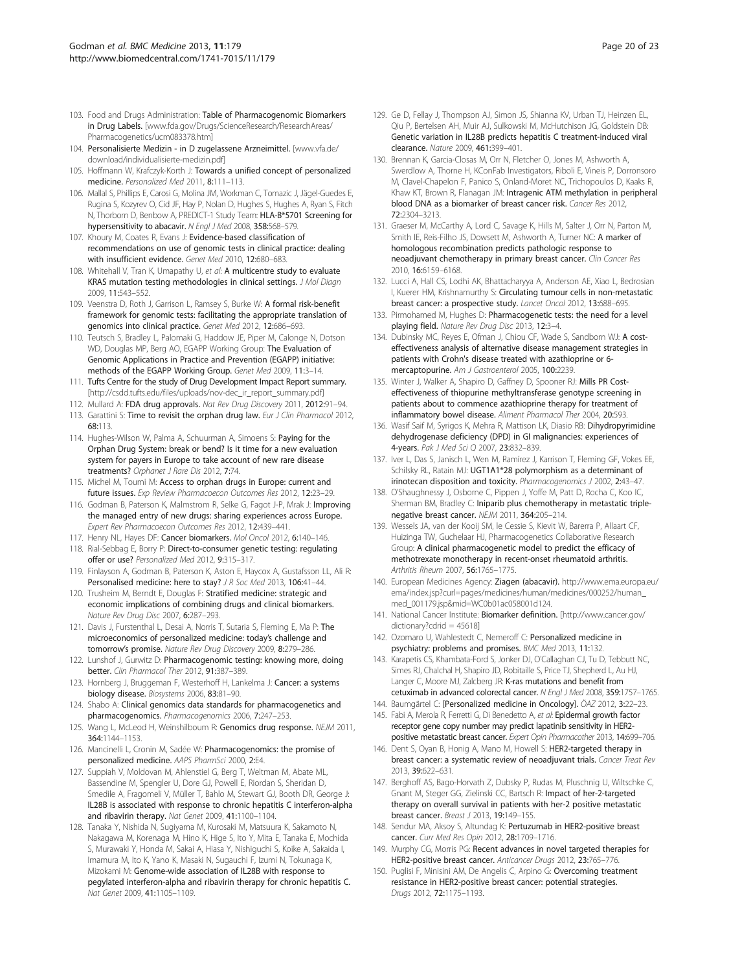- <span id="page-19-0"></span>103. Food and Drugs Administration: Table of Pharmacogenomic Biomarkers in Drug Labels. [\[www.fda.gov/Drugs/ScienceResearch/ResearchAreas/](http://www.fda.gov/Drugs/ScienceResearch/ResearchAreas/Pharmacogenetics/ucm083378.htm) [Pharmacogenetics/ucm083378.htm](http://www.fda.gov/Drugs/ScienceResearch/ResearchAreas/Pharmacogenetics/ucm083378.htm)]
- 104. Personalisierte Medizin in D zugelassene Arzneimittel. [\[www.vfa.de/](http://www.vfa.de/download/individualisierte-medizin.pdf) [download/individualisierte-medizin.pdf\]](http://www.vfa.de/download/individualisierte-medizin.pdf)
- 105. Hoffmann W, Krafczyk-Korth J: Towards a unified concept of personalized medicine. Personalized Med 2011, 8:111–113.
- 106. Mallal S, Phillips E, Carosi G, Molina JM, Workman C, Tomazic J, Jägel-Guedes E, Rugina S, Kozyrev O, Cid JF, Hay P, Nolan D, Hughes S, Hughes A, Ryan S, Fitch N, Thorborn D, Benbow A, PREDICT-1 Study Team: HLA-B\*5701 Screening for hypersensitivity to abacavir. N Engl J Med 2008, 358:568–579.
- 107. Khoury M, Coates R, Evans J: **Evidence-based classification of** recommendations on use of genomic tests in clinical practice: dealing with insufficient evidence. Genet Med 2010, 12:680–683.
- 108. Whitehall V, Tran K, Umapathy U, et al: A multicentre study to evaluate KRAS mutation testing methodologies in clinical settings. J Mol Diagn 2009, 11:543–552.
- 109. Veenstra D, Roth J, Garrison L, Ramsey S, Burke W: A formal risk-benefit framework for genomic tests: facilitating the appropriate translation of genomics into clinical practice. Genet Med 2012, 12:686–693.
- 110. Teutsch S, Bradley L, Palomaki G, Haddow JE, Piper M, Calonge N, Dotson WD, Douglas MP, Berg AO, EGAPP Working Group: The Evaluation of Genomic Applications in Practice and Prevention (EGAPP) initiative: methods of the EGAPP Working Group. Genet Med 2009, 11:3–14.
- 111. Tufts Centre for the study of Drug Development Impact Report summary. [[http://csdd.tufts.edu/files/uploads/nov-dec\\_ir\\_report\\_summary.](http://csdd.tufts.edu/files/uploads/nov-dec_ir_report_summary.pdf)pdf]
- 112. Mullard A: FDA drug approvals. Nat Rev Drug Discovery 2011, 2012:91-94.
- 113. Garattini S: Time to revisit the orphan drug law. Eur J Clin Pharmacol 2012, 68:113.
- 114. Hughes-Wilson W, Palma A, Schuurman A, Simoens S: Paying for the Orphan Drug System: break or bend? Is it time for a new evaluation system for payers in Europe to take account of new rare disease treatments? Orphanet J Rare Dis 2012, 7:74.
- 115. Michel M, Toumi M: Access to orphan drugs in Europe: current and future issues. Exp Review Pharmacoecon Outcomes Res 2012, 12:23–29.
- 116. Godman B, Paterson K, Malmstrom R, Selke G, Fagot J-P, Mrak J: Improving the managed entry of new drugs: sharing experiences across Europe. Expert Rev Pharmacoecon Outcomes Res 2012, 12:439–441.
- 117. Henry NL, Hayes DF: Cancer biomarkers. Mol Oncol 2012, 6:140-146.
- 118. Rial-Sebbag E, Borry P: Direct-to-consumer genetic testing: regulating offer or use? Personalized Med 2012, 9:315–317.
- 119. Finlayson A, Godman B, Paterson K, Aston E, Haycox A, Gustafsson LL, Ali R: Personalised medicine: here to stay? J R Soc Med 2013, 106:41-44.
- 120. Trusheim M, Berndt E, Douglas F: Stratified medicine: strategic and economic implications of combining drugs and clinical biomarkers. Nature Rev Drug Disc 2007, 6:287–293.
- 121. Davis J, Furstenthal L, Desai A, Norris T, Sutaria S, Fleming E, Ma P: The microeconomics of personalized medicine: today's challenge and tomorrow's promise. Nature Rev Drug Discovery 2009, 8:279–286.
- 122. Lunshof J, Gurwitz D: Pharmacogenomic testing: knowing more, doing better. Clin Pharmacol Ther 2012, 91:387–389.
- 123. Hornberg J, Bruggeman F, Westerhoff H, Lankelma J: Cancer: a systems biology disease. Biosystems 2006, 83:81–90.
- 124. Shabo A: Clinical genomics data standards for pharmacogenetics and pharmacogenomics. Pharmacogenomics 2006, 7:247–253.
- 125. Wang L, McLeod H, Weinshilboum R: Genomics drug response. NEJM 2011, 364:1144–1153.
- 126. Mancinelli L, Cronin M, Sadée W: Pharmacogenomics: the promise of personalized medicine. AAPS PharmSci 2000, 2:E4.
- 127. Suppiah V, Moldovan M, Ahlenstiel G, Berg T, Weltman M, Abate ML, Bassendine M, Spengler U, Dore GJ, Powell E, Riordan S, Sheridan D, Smedile A, Fragomeli V, Müller T, Bahlo M, Stewart GJ, Booth DR, George J: IL28B is associated with response to chronic hepatitis C interferon-alpha and ribavirin therapy. Nat Genet 2009, 41:1100–1104.
- 128. Tanaka Y, Nishida N, Sugiyama M, Kurosaki M, Matsuura K, Sakamoto N, Nakagawa M, Korenaga M, Hino K, Hige S, Ito Y, Mita E, Tanaka E, Mochida S, Murawaki Y, Honda M, Sakai A, Hiasa Y, Nishiguchi S, Koike A, Sakaida I, Imamura M, Ito K, Yano K, Masaki N, Sugauchi F, Izumi N, Tokunaga K, Mizokami M: Genome-wide association of IL28B with response to pegylated interferon-alpha and ribavirin therapy for chronic hepatitis C. Nat Genet 2009, 41:1105–1109.
- 129. Ge D, Fellay J, Thompson AJ, Simon JS, Shianna KV, Urban TJ, Heinzen EL, Qiu P, Bertelsen AH, Muir AJ, Sulkowski M, McHutchison JG, Goldstein DB: Genetic variation in IL28B predicts hepatitis C treatment-induced viral clearance. Nature 2009, 461:399–401.
- 130. Brennan K, Garcia-Closas M, Orr N, Fletcher O, Jones M, Ashworth A, Swerdlow A, Thorne H, KConFab Investigators, Riboli E, Vineis P, Dorronsoro M, Clavel-Chapelon F, Panico S, Onland-Moret NC, Trichopoulos D, Kaaks R, Khaw KT, Brown R, Flanagan JM: Intragenic ATM methylation in peripheral blood DNA as a biomarker of breast cancer risk. Cancer Res 2012, 72:2304–3213.
- 131. Graeser M, McCarthy A, Lord C, Savage K, Hills M, Salter J, Orr N, Parton M, Smith IE, Reis-Filho JS, Dowsett M, Ashworth A, Turner NC: A marker of homologous recombination predicts pathologic response to neoadjuvant chemotherapy in primary breast cancer. Clin Cancer Res 2010, 16:6159–6168.
- 132. Lucci A, Hall CS, Lodhi AK, Bhattacharyya A, Anderson AE, Xiao L, Bedrosian I, Kuerer HM, Krishnamurthy S: Circulating tumour cells in non-metastatic breast cancer: a prospective study. Lancet Oncol 2012, 13:688–695.
- 133. Pirmohamed M, Hughes D: Pharmacogenetic tests: the need for a level playing field. Nature Rev Drug Disc 2013, 12:3–4.
- 134. Dubinsky MC, Reyes E, Ofman J, Chiou CF, Wade S, Sandborn WJ: A costeffectiveness analysis of alternative disease management strategies in patients with Crohn's disease treated with azathioprine or 6 mercaptopurine. Am J Gastroenterol 2005, 100:2239.
- 135. Winter J, Walker A, Shapiro D, Gaffney D, Spooner RJ: Mills PR Costeffectiveness of thiopurine methyltransferase genotype screening in patients about to commence azathioprine therapy for treatment of inflammatory bowel disease. Aliment Pharmacol Ther 2004, 20:593.
- 136. Wasif Saif M, Syrigos K, Mehra R, Mattison LK, Diasio RB: Dihydropyrimidine dehydrogenase deficiency (DPD) in GI malignancies: experiences of 4-years. Pak J Med Sci Q 2007, 23:832–839.
- 137. Iver L, Das S, Janisch L, Wen M, Ramírez J, Karrison T, Fleming GF, Vokes EE, Schilsky RL, Ratain MJ: UGT1A1\*28 polymorphism as a determinant of irinotecan disposition and toxicity. Pharmacogenomics J 2002, 2:43–47.
- 138. O'Shaughnessy J, Osborne C, Pippen J, Yoffe M, Patt D, Rocha C, Koo IC, Sherman BM, Bradley C: Iniparib plus chemotherapy in metastatic triplenegative breast cancer. NEJM 2011, 364:205–214.
- 139. Wessels JA, van der Kooij SM, le Cessie S, Kievit W, Barerra P, Allaart CF, Huizinga TW, Guchelaar HJ, Pharmacogenetics Collaborative Research Group: A clinical pharmacogenetic model to predict the efficacy of methotrexate monotherapy in recent-onset rheumatoid arthritis. Arthritis Rheum 2007, 56:1765–1775.
- 140. European Medicines Agency: Ziagen (abacavir). [http://www.ema.europa.eu/](http://www.ema.europa.eu/ema/index.jsp?curl=pages/medicines/human/medicines/000252/human_med_001179.jsp&mid=WC0b01ac058001d124) [ema/index.jsp?curl=pages/medicines/human/medicines/000252/human\\_](http://www.ema.europa.eu/ema/index.jsp?curl=pages/medicines/human/medicines/000252/human_med_001179.jsp&mid=WC0b01ac058001d124) [med\\_001179.jsp&mid=WC0b01ac058001d124.](http://www.ema.europa.eu/ema/index.jsp?curl=pages/medicines/human/medicines/000252/human_med_001179.jsp&mid=WC0b01ac058001d124)
- 141. National Cancer Institute: Biomarker definition. [[http://www.cancer.gov/](http://www.cancer.gov/dictionary?cdrid = 45618) [dictionary?cdrid = 45618](http://www.cancer.gov/dictionary?cdrid = 45618)]
- 142. Ozomaro U, Wahlestedt C, Nemeroff C: Personalized medicine in psychiatry: problems and promises. BMC Med 2013, 11:132.
- 143. Karapetis CS, Khambata-Ford S, Jonker DJ, O'Callaghan CJ, Tu D, Tebbutt NC, Simes RJ, Chalchal H, Shapiro JD, Robitaille S, Price TJ, Shepherd L, Au HJ, Langer C, Moore MJ, Zalcberg JR: K-ras mutations and benefit from cetuximab in advanced colorectal cancer. N Engl J Med 2008, 359:1757–1765.
- 144. Baumgärtel C: [Personalized medicine in Oncology]. ÖAZ 2012, 3:22–23.
- 145. Fabi A, Merola R, Ferretti G, Di Benedetto A, et al: Epidermal growth factor receptor gene copy number may predict lapatinib sensitivity in HER2 positive metastatic breast cancer. Expert Opin Pharmacother 2013, 14:699–706.
- 146. Dent S, Oyan B, Honig A, Mano M, Howell S: HER2-targeted therapy in breast cancer: a systematic review of neoadjuvant trials. Cancer Treat Rev 2013, 39:622–631.
- 147. Berghoff AS, Bago-Horvath Z, Dubsky P, Rudas M, Pluschnig U, Wiltschke C, Gnant M, Steger GG, Zielinski CC, Bartsch R: Impact of her-2-targeted therapy on overall survival in patients with her-2 positive metastatic breast cancer. Breast J 2013, 19:149–155.
- 148. Sendur MA, Aksoy S, Altundag K: Pertuzumab in HER2-positive breast cancer. Curr Med Res Opin 2012, 28:1709–1716.
- 149. Murphy CG, Morris PG: Recent advances in novel targeted therapies for HER2-positive breast cancer. Anticancer Drugs 2012, 23:765–776.
- 150. Puglisi F, Minisini AM, De Angelis C, Arpino G: Overcoming treatment resistance in HER2-positive breast cancer: potential strategies. Drugs 2012, 72:1175–1193.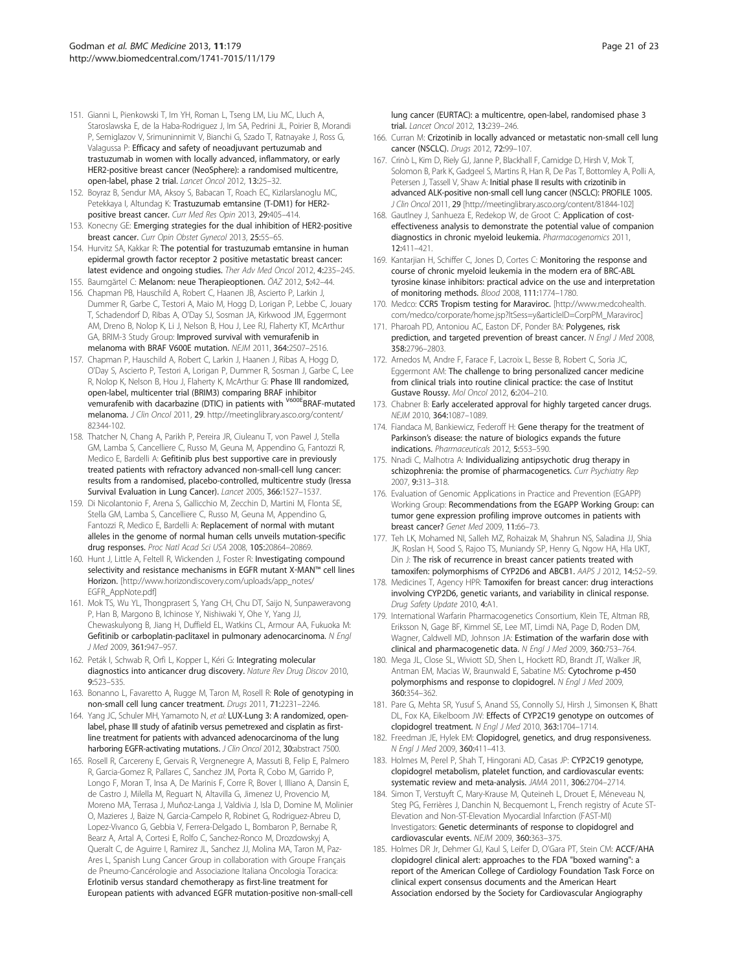- <span id="page-20-0"></span>151. Gianni L, Pienkowski T, Im YH, Roman L, Tseng LM, Liu MC, Lluch A, Staroslawska E, de la Haba-Rodriguez J, Im SA, Pedrini JL, Poirier B, Morandi P, Semiglazov V, Srimuninnimit V, Bianchi G, Szado T, Ratnayake J, Ross G, Valagussa P: Efficacy and safety of neoadjuvant pertuzumab and trastuzumab in women with locally advanced, inflammatory, or early HER2-positive breast cancer (NeoSphere): a randomised multicentre, open-label, phase 2 trial. Lancet Oncol 2012, 13:25–32.
- 152. Boyraz B, Sendur MA, Aksoy S, Babacan T, Roach EC, Kizilarslanoglu MC, Petekkaya I, Altundag K: Trastuzumab emtansine (T-DM1) for HER2positive breast cancer. Curr Med Res Opin 2013, 29:405–414.
- 153. Konecny GE: Emerging strategies for the dual inhibition of HER2-positive breast cancer. Curr Opin Obstet Gynecol 2013, 25:55–65.
- 154. Hurvitz SA, Kakkar R: The potential for trastuzumab emtansine in human epidermal growth factor receptor 2 positive metastatic breast cancer: latest evidence and ongoing studies. Ther Adv Med Oncol 2012, 4:235–245.
- 155. Baumgärtel C: Melanom: neue Therapieoptionen. ÖAZ 2012, 5:42–44.
- 156. Chapman PB, Hauschild A, Robert C, Haanen JB, Ascierto P, Larkin J, Dummer R, Garbe C, Testori A, Maio M, Hogg D, Lorigan P, Lebbe C, Jouary T, Schadendorf D, Ribas A, O'Day SJ, Sosman JA, Kirkwood JM, Eggermont AM, Dreno B, Nolop K, Li J, Nelson B, Hou J, Lee RJ, Flaherty KT, McArthur GA, BRIM-3 Study Group: Improved survival with vemurafenib in melanoma with BRAF V600E mutation. NEJM 2011, 364:2507–2516.
- 157. Chapman P, Hauschild A, Robert C, Larkin J, Haanen J, Ribas A, Hogg D, O'Day S, Ascierto P, Testori A, Lorigan P, Dummer R, Sosman J, Garbe C, Lee R, Nolop K, Nelson B, Hou J, Flaherty K, McArthur G: Phase III randomized, open-label, multicenter trial (BRIM3) comparing BRAF inhibitor vemurafenib with dacarbazine (DTIC) in patients with <sup>V600E</sup>BRAF-mutated melanoma. J Clin Oncol 2011, 29. [http://meetinglibrary.asco.org/content/](http://meetinglibrary.asco.org/content/82344-102) [82344-102](http://meetinglibrary.asco.org/content/82344-102).
- 158. Thatcher N, Chang A, Parikh P, Pereira JR, Ciuleanu T, von Pawel J, Stella GM, Lamba S, Cancelliere C, Russo M, Geuna M, Appendino G, Fantozzi R, Medico E, Bardelli A: Gefitinib plus best supportive care in previously treated patients with refractory advanced non-small-cell lung cancer: results from a randomised, placebo-controlled, multicentre study (Iressa Survival Evaluation in Lung Cancer). Lancet 2005, 366:1527–1537.
- 159. Di Nicolantonio F, Arena S, Gallicchio M, Zecchin D, Martini M, Flonta SE, Stella GM, Lamba S, Cancelliere C, Russo M, Geuna M, Appendino G, Fantozzi R, Medico E, Bardelli A: Replacement of normal with mutant alleles in the genome of normal human cells unveils mutation-specific drug responses. Proc Natl Acad Sci USA 2008, 105:20864–20869.
- 160. Hunt J, Little A, Feltell R, Wickenden J, Foster R: Investigating compound selectivity and resistance mechanisms in EGFR mutant X‐MAN™ cell lines Horizon. [\[http://www.horizondiscovery.com/uploads/app\\_notes/](http://www.horizondiscovery.com/uploads/app_notes/EGFR_AppNote.pdf) [EGFR\\_AppNote.pdf](http://www.horizondiscovery.com/uploads/app_notes/EGFR_AppNote.pdf)]
- 161. Mok TS, Wu YL, Thongprasert S, Yang CH, Chu DT, Saijo N, Sunpaweravong P, Han B, Margono B, Ichinose Y, Nishiwaki Y, Ohe Y, Yang JJ, Chewaskulyong B, Jiang H, Duffield EL, Watkins CL, Armour AA, Fukuoka M: Gefitinib or carboplatin-paclitaxel in pulmonary adenocarcinoma. N Engl J Med 2009, 361:947–957.
- 162. Peták I, Schwab R, Orfi L, Kopper L, Kéri G: Integrating molecular diagnostics into anticancer drug discovery. Nature Rev Drug Discov 2010, 9:523–535.
- 163. Bonanno L, Favaretto A, Rugge M, Taron M, Rosell R: Role of genotyping in non-small cell lung cancer treatment. Drugs 2011, 71:2231–2246.
- 164. Yang JC, Schuler MH, Yamamoto N, et al: LUX-Lung 3: A randomized, openlabel, phase III study of afatinib versus pemetrexed and cisplatin as firstline treatment for patients with advanced adenocarcinoma of the lung harboring EGFR-activating mutations. J Clin Oncol 2012, 30:abstract 7500.
- 165. Rosell R, Carcereny E, Gervais R, Vergnenegre A, Massuti B, Felip E, Palmero R, Garcia-Gomez R, Pallares C, Sanchez JM, Porta R, Cobo M, Garrido P, Longo F, Moran T, Insa A, De Marinis F, Corre R, Bover I, Illiano A, Dansin E, de Castro J, Milella M, Reguart N, Altavilla G, Jimenez U, Provencio M, Moreno MA, Terrasa J, Muñoz-Langa J, Valdivia J, Isla D, Domine M, Molinier O, Mazieres J, Baize N, Garcia-Campelo R, Robinet G, Rodriguez-Abreu D, Lopez-Vivanco G, Gebbia V, Ferrera-Delgado L, Bombaron P, Bernabe R, Bearz A, Artal A, Cortesi E, Rolfo C, Sanchez-Ronco M, Drozdowskyj A, Queralt C, de Aguirre I, Ramirez JL, Sanchez JJ, Molina MA, Taron M, Paz-Ares L, Spanish Lung Cancer Group in collaboration with Groupe Français de Pneumo-Cancérologie and Associazione Italiana Oncologia Toracica: Erlotinib versus standard chemotherapy as first-line treatment for European patients with advanced EGFR mutation-positive non-small-cell

lung cancer (EURTAC): a multicentre, open-label, randomised phase 3 trial. Lancet Oncol 2012, 13:239–246.

- 166. Curran M: Crizotinib in locally advanced or metastatic non-small cell lung cancer (NSCLC). Drugs 2012, 72:99–107.
- 167. Crinò L, Kim D, Riely GJ, Janne P, Blackhall F, Camidge D, Hirsh V, Mok T, Solomon B, Park K, Gadgeel S, Martins R, Han R, De Pas T, Bottomley A, Polli A, Petersen J, Tassell V, Shaw A: Initial phase II results with crizotinib in advanced ALK-positive non-small cell lung cancer (NSCLC): PROFILE 1005. J Clin Oncol 2011, 29 [\[http://meetinglibrary.asco.org/content/81844-102](http://meetinglibrary.asco.org/content/81844-102)]
- 168. Gautlney J, Sanhueza E, Redekop W, de Groot C: Application of costeffectiveness analysis to demonstrate the potential value of companion diagnostics in chronic myeloid leukemia. Pharmacogenomics 2011, 12:411–421.
- 169. Kantarjian H, Schiffer C, Jones D, Cortes C: Monitoring the response and course of chronic myeloid leukemia in the modern era of BRC-ABL tyrosine kinase inhibitors: practical advice on the use and interpretation of monitoring methods. Blood 2008, 111:1774–1780.
- 170. Medco: CCR5 Tropism testing for Maraviroc. [\[http://www.medcohealth.](http://www.medcohealth.com/medco/corporate/home.jsp?ltSess=y&articleID=CorpPM_Maraviroc) [com/medco/corporate/home.jsp?ltSess=y&articleID=CorpPM\\_Maraviroc\]](http://www.medcohealth.com/medco/corporate/home.jsp?ltSess=y&articleID=CorpPM_Maraviroc)
- 171. Pharoah PD, Antoniou AC, Easton DF, Ponder BA: Polygenes, risk prediction, and targeted prevention of breast cancer. N Engl J Med 2008, 358:2796–2803.
- 172. Arnedos M, Andre F, Farace F, Lacroix L, Besse B, Robert C, Soria JC, Eggermont AM: The challenge to bring personalized cancer medicine from clinical trials into routine clinical practice: the case of Institut Gustave Roussy. Mol Oncol 2012, 6:204–210.
- 173. Chabner B: Early accelerated approval for highly targeted cancer drugs. NEJM 2010, 364:1087–1089.
- 174. Fiandaca M, Bankiewicz, Federoff H: Gene therapy for the treatment of Parkinson's disease: the nature of biologics expands the future indications. Pharmaceuticals 2012, 5:553–590.
- 175. Nnadi C, Malhotra A: Individualizing antipsychotic drug therapy in schizophrenia: the promise of pharmacogenetics. Curr Psychiatry Rep 2007, 9:313–318.
- 176. Evaluation of Genomic Applications in Practice and Prevention (EGAPP) Working Group: Recommendations from the EGAPP Working Group: can tumor gene expression profiling improve outcomes in patients with breast cancer? Genet Med 2009, 11:66–73.
- 177. Teh LK, Mohamed NI, Salleh MZ, Rohaizak M, Shahrun NS, Saladina JJ, Shia JK, Roslan H, Sood S, Rajoo TS, Muniandy SP, Henry G, Ngow HA, Hla UKT, Din J: The risk of recurrence in breast cancer patients treated with tamoxifen: polymorphisms of CYP2D6 and ABCB1. AAPS J 2012, 14:52–59.
- 178. Medicines T, Agency HPR: Tamoxifen for breast cancer: drug interactions involving CYP2D6, genetic variants, and variability in clinical response. Drug Safety Update 2010, 4:A1.
- 179. International Warfarin Pharmacogenetics Consortium, Klein TE, Altman RB, Eriksson N, Gage BF, Kimmel SE, Lee MT, Limdi NA, Page D, Roden DM, Wagner, Caldwell MD, Johnson JA: Estimation of the warfarin dose with clinical and pharmacogenetic data. N Engl J Med 2009, 360:753–764.
- 180. Mega JL, Close SL, Wiviott SD, Shen L, Hockett RD, Brandt JT, Walker JR, Antman EM, Macias W, Braunwald E, Sabatine MS: Cytochrome p-450 polymorphisms and response to clopidogrel. N Engl J Med 2009, 360:354–362.
- 181. Pare G, Mehta SR, Yusuf S, Anand SS, Connolly SJ, Hirsh J, Simonsen K, Bhatt DL, Fox KA, Eikelboom JW: Effects of CYP2C19 genotype on outcomes of clopidogrel treatment. N Engl J Med 2010, 363:1704–1714.
- 182. Freedman JE, Hylek EM: Clopidogrel, genetics, and drug responsiveness. N Engl J Med 2009, 360:411–413.
- 183. Holmes M, Perel P, Shah T, Hingorani AD, Casas JP: CYP2C19 genotype, clopidogrel metabolism, platelet function, and cardiovascular events: systematic review and meta-analysis. JAMA 2011, 306:2704–2714.
- 184. Simon T, Verstuyft C, Mary-Krause M, Quteineh L, Drouet E, Méneveau N, Steg PG, Ferrières J, Danchin N, Becquemont L, French registry of Acute ST-Elevation and Non-ST-Elevation Myocardial Infarction (FAST-MI) Investigators: Genetic determinants of response to clopidogrel and cardiovascular events. NEJM 2009, 360:363–375.
- 185. Holmes DR Jr, Dehmer GJ, Kaul S, Leifer D, O'Gara PT, Stein CM: ACCF/AHA clopidogrel clinical alert: approaches to the FDA "boxed warning": a report of the American College of Cardiology Foundation Task Force on clinical expert consensus documents and the American Heart Association endorsed by the Society for Cardiovascular Angiography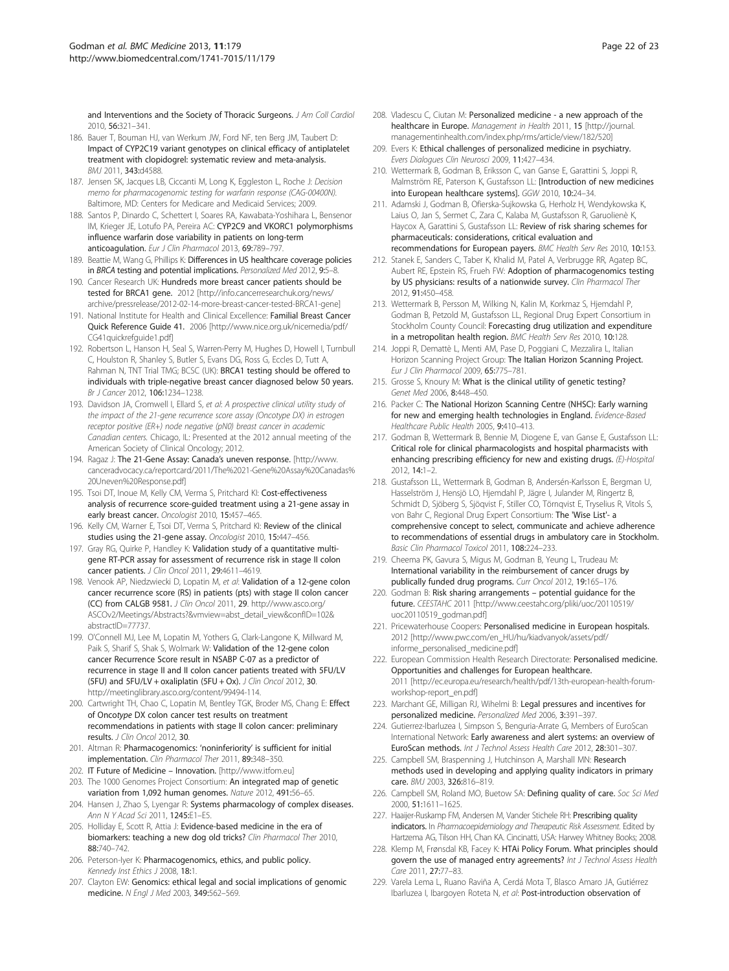<span id="page-21-0"></span>and Interventions and the Society of Thoracic Surgeons. J Am Coll Cardiol 2010, 56:321–341.

- 186. Bauer T, Bouman HJ, van Werkum JW, Ford NF, ten Berg JM, Taubert D: Impact of CYP2C19 variant genotypes on clinical efficacy of antiplatelet treatment with clopidogrel: systematic review and meta-analysis. BMJ 2011, 343:d4588.
- 187. Jensen SK, Jacques LB, Ciccanti M, Long K, Eggleston L, Roche J: Decision memo for pharmacogenomic testing for warfarin response (CAG-00400N). Baltimore, MD: Centers for Medicare and Medicaid Services; 2009.
- 188. Santos P, Dinardo C, Schettert I, Soares RA, Kawabata-Yoshihara L, Bensenor IM, Krieger JE, Lotufo PA, Pereira AC: CYP2C9 and VKORC1 polymorphisms influence warfarin dose variability in patients on long-term anticoagulation. Eur J Clin Pharmacol 2013, 69:789-797.
- 189. Beattie M, Wang G, Phillips K: Differences in US healthcare coverage policies in BRCA testing and potential implications. Personalized Med 2012, 9:5–8.
- 190. Cancer Research UK: Hundreds more breast cancer patients should be tested for BRCA1 gene. 2012 [[http://info.cancerresearchuk.org/news/](http://info.cancerresearchuk.org/news/archive/pressrelease/2012-02-14-more-breast-cancer-tested-BRCA1-gene) [archive/pressrelease/2012-02-14-more-breast-cancer-tested-BRCA1-gene\]](http://info.cancerresearchuk.org/news/archive/pressrelease/2012-02-14-more-breast-cancer-tested-BRCA1-gene)
- 191. National Institute for Health and Clinical Excellence: Familial Breast Cancer Quick Reference Guide 41. 2006 [[http://www.nice.org.uk/nicemedia/pdf/](http://www.nice.org.uk/nicemedia/pdf/CG41quickrefguide1.pdf) [CG41quickrefguide1.pdf\]](http://www.nice.org.uk/nicemedia/pdf/CG41quickrefguide1.pdf)
- 192. Robertson L, Hanson H, Seal S, Warren-Perry M, Hughes D, Howell I, Turnbull C, Houlston R, Shanley S, Butler S, Evans DG, Ross G, Eccles D, Tutt A, Rahman N, TNT Trial TMG; BCSC (UK): BRCA1 testing should be offered to individuals with triple-negative breast cancer diagnosed below 50 years. Br J Cancer 2012, 106:1234–1238.
- 193. Davidson JA, Cromwell I, Ellard S, et al: A prospective clinical utility study of the impact of the 21-gene recurrence score assay (Oncotype DX) in estrogen receptor positive (ER+) node negative (pN0) breast cancer in academic Canadian centers. Chicago, IL: Presented at the 2012 annual meeting of the American Society of Clinical Oncology; 2012.
- 194. Ragaz J: The 21-Gene Assay: Canada's uneven response. [[http://www.](http://www.canceradvocacy.ca/reportcard/2011/The%2021-Gene%20Assay%20Canadas%20Uneven%20Response.pdf) [canceradvocacy.ca/reportcard/2011/The%2021-Gene%20Assay%20Canadas%](http://www.canceradvocacy.ca/reportcard/2011/The%2021-Gene%20Assay%20Canadas%20Uneven%20Response.pdf) [20Uneven%20Response.pdf](http://www.canceradvocacy.ca/reportcard/2011/The%2021-Gene%20Assay%20Canadas%20Uneven%20Response.pdf)]
- 195. Tsoi DT, Inoue M, Kelly CM, Verma S, Pritchard KI: Cost-effectiveness analysis of recurrence score-guided treatment using a 21-gene assay in early breast cancer. Oncologist 2010, 15:457–465.
- 196. Kelly CM, Warner E, Tsoi DT, Verma S, Pritchard KI: Review of the clinical studies using the 21-gene assay. Oncologist 2010, 15:447–456.
- 197. Gray RG, Quirke P, Handley K: Validation study of a quantitative multigene RT-PCR assay for assessment of recurrence risk in stage II colon cancer patients. J Clin Oncol 2011, 29:4611–4619.
- 198. Venook AP, Niedzwiecki D, Lopatin M, et al: Validation of a 12-gene colon cancer recurrence score (RS) in patients (pts) with stage II colon cancer (CC) from CALGB 9581. J Clin Oncol 2011, 29. [http://www.asco.org/](http://www.asco.org/ASCOv2/Meetings/Abstracts?&vmview=abst_detail_view&confID=102&abstractID=77737) [ASCOv2/Meetings/Abstracts?&vmview=abst\\_detail\\_view&confID=102&](http://www.asco.org/ASCOv2/Meetings/Abstracts?&vmview=abst_detail_view&confID=102&abstractID=77737) [abstractID=77737](http://www.asco.org/ASCOv2/Meetings/Abstracts?&vmview=abst_detail_view&confID=102&abstractID=77737).
- 199. O'Connell MJ, Lee M, Lopatin M, Yothers G, Clark-Langone K, Millward M, Paik S, Sharif S, Shak S, Wolmark W: Validation of the 12-gene colon cancer Recurrence Score result in NSABP C-07 as a predictor of recurrence in stage II and II colon cancer patients treated with 5FU/LV (5FU) and 5FU/LV + oxaliplatin (5FU + Ox). J Clin Oncol 2012, 30. <http://meetinglibrary.asco.org/content/99494-114>.
- 200. Cartwright TH, Chao C, Lopatin M, Bentley TGK, Broder MS, Chang E: Effect of Oncotype DX colon cancer test results on treatment recommendations in patients with stage II colon cancer: preliminary results. J Clin Oncol 2012, 30.
- 201. Altman R: Pharmacogenomics: 'noninferiority' is sufficient for initial implementation. Clin Pharmacol Ther 2011, 89:348-350.
- 202. IT Future of Medicine Innovation. [[http://www.itfom.eu\]](http://www.itfom.eu)
- 203. The 1000 Genomes Project Consortium: An integrated map of genetic variation from 1,092 human genomes. Nature 2012, 491:56–65.
- 204. Hansen J, Zhao S, Lyengar R: Systems pharmacology of complex diseases. Ann N Y Acad Sci 2011, 1245:E1–E5.
- 205. Holliday E, Scott R, Attia J: Evidence-based medicine in the era of biomarkers: teaching a new dog old tricks? Clin Pharmacol Ther 2010, 88:740–742.
- 206. Peterson-Iyer K: Pharmacogenomics, ethics, and public policy. Kennedy Inst Ethics J 2008, 18:1.
- 207. Clayton EW: Genomics: ethical legal and social implications of genomic medicine. N Engl J Med 2003, 349:562–569.
- 208. Vladescu C, Ciutan M: Personalized medicine a new approach of the healthcare in Europe. Management in Health 2011, 15 [http://journal [managementinhealth.com/index.php/rms/article/view/182/520](http://journal.managementinhealth.com/index.php/rms/article/view/182/520)]
- 209. Evers K: Ethical challenges of personalized medicine in psychiatry. Evers Dialogues Clin Neurosci 2009, 11:427–434.
- 210. Wettermark B, Godman B, Eriksson C, van Ganse E, Garattini S, Joppi R, Malmström RE, Paterson K, Gustafsson LL: [Introduction of new medicines into European healthcare systems]. GGW 2010, 10:24–34.
- 211. Adamski J, Godman B, Ofierska-Sujkowska G, Herholz H, Wendykowska K, Laius O, Jan S, Sermet C, Zara C, Kalaba M, Gustafsson R, Garuolienè K, Haycox A, Garattini S, Gustafsson LL: Review of risk sharing schemes for pharmaceuticals: considerations, critical evaluation and recommendations for European payers. BMC Health Serv Res 2010, 10:153.
- 212. Stanek E, Sanders C, Taber K, Khalid M, Patel A, Verbrugge RR, Agatep BC, Aubert RE, Epstein RS, Frueh FW: Adoption of pharmacogenomics testing by US physicians: results of a nationwide survey. Clin Pharmacol Ther 2012, 91:450–458.
- 213. Wettermark B, Persson M, Wilking N, Kalin M, Korkmaz S, Hjemdahl P, Godman B, Petzold M, Gustafsson LL, Regional Drug Expert Consortium in Stockholm County Council: Forecasting drug utilization and expenditure in a metropolitan health region. BMC Health Serv Res 2010, 10:128.
- 214. Joppi R, Demattè L, Menti AM, Pase D, Poggiani C, Mezzalira L, Italian Horizon Scanning Project Group: The Italian Horizon Scanning Project. Eur J Clin Pharmacol 2009, 65:775–781.
- 215. Grosse S, Knoury M: What is the clinical utility of genetic testing? Genet Med 2006, 8:448–450.
- 216. Packer C: The National Horizon Scanning Centre (NHSC): Early warning for new and emerging health technologies in England. Evidence-Based Healthcare Public Health 2005, 9:410–413.
- 217. Godman B, Wettermark B, Bennie M, Diogene E, van Ganse E, Gustafsson LL: Critical role for clinical pharmacologists and hospital pharmacists with enhancing prescribing efficiency for new and existing drugs. (E)-Hospital 2012, 14:1–2.
- 218. Gustafsson LL, Wettermark B, Godman B, Andersén-Karlsson E, Bergman U, Hasselström J, Hensjö LO, Hjemdahl P, Jägre I, Julander M, Ringertz B, Schmidt D, Sjöberg S, Sjöqvist F, Stiller CO, Törnqvist E, Tryselius R, Vitols S, von Bahr C, Regional Drug Expert Consortium: The 'Wise List'- a comprehensive concept to select, communicate and achieve adherence to recommendations of essential drugs in ambulatory care in Stockholm. Basic Clin Pharmacol Toxicol 2011, 108:224–233.
- 219. Cheema PK, Gavura S, Migus M, Godman B, Yeung L, Trudeau M: International variability in the reimbursement of cancer drugs by publically funded drug programs. Curr Oncol 2012, 19:165–176.
- 220. Godman B: Risk sharing arrangements potential guidance for the future. CEESTAHC 2011 [[http://www.ceestahc.org/pliki/uoc/20110519/](http://www.ceestahc.org/pliki/uoc/20110519/uoc20110519_godman.pdf) [uoc20110519\\_godman.pdf](http://www.ceestahc.org/pliki/uoc/20110519/uoc20110519_godman.pdf)]
- 221. Pricewaterhouse Coopers: Personalised medicine in European hospitals. 2012 [\[http://www.pwc.com/en\\_HU/hu/kiadvanyok/assets/pdf/](http://www.pwc.com/en_HU/hu/kiadvanyok/assets/pdf/informe_personalised_medicine.pdf) [informe\\_personalised\\_medicine.pdf\]](http://www.pwc.com/en_HU/hu/kiadvanyok/assets/pdf/informe_personalised_medicine.pdf)
- 222. European Commission Health Research Directorate: Personalised medicine. Opportunities and challenges for European healthcare. 2011 [\[http://ec.europa.eu/research/health/pdf/13th-european-health-forum](http://ec.europa.eu/research/health/pdf/13th-european-health-forum-workshop-report_en.pdf)[workshop-report\\_en.pdf\]](http://ec.europa.eu/research/health/pdf/13th-european-health-forum-workshop-report_en.pdf)
- 223. Marchant GE, Milligan RJ, Wihelmi B: Legal pressures and incentives for personalized medicine. Personalized Med 2006, 3:391–397.
- 224. Gutierrez-Ibarluzea I, Simpson S, Benguria-Arrate G, Members of EuroScan International Network: Early awareness and alert systems: an overview of EuroScan methods. Int J Technol Assess Health Care 2012, 28:301–307.
- 225. Campbell SM, Braspenning J, Hutchinson A, Marshall MN: Research methods used in developing and applying quality indicators in primary care. BMJ 2003, 326:816–819.
- 226. Campbell SM, Roland MO, Buetow SA: Defining quality of care. Soc Sci Med 2000, 51:1611–1625.
- 227. Haaijer-Ruskamp FM, Andersen M, Vander Stichele RH: Prescribing quality indicators. In Pharmacoepidemiology and Therapeutic Risk Assessment. Edited by Hartzema AG, Tilson HH, Chan KA. Cincinatti, USA: Harwey Whitney Books; 2008.
- 228. Klemp M, Frønsdal KB, Facey K: HTAi Policy Forum. What principles should govern the use of managed entry agreements? Int J Technol Assess Health Care 2011, 27:77–83.
- 229. Varela Lema L, Ruano Raviña A, Cerdá Mota T, Blasco Amaro JA, Gutiérrez Ibarluzea I, Ibargoyen Roteta N, et al: Post-introduction observation of